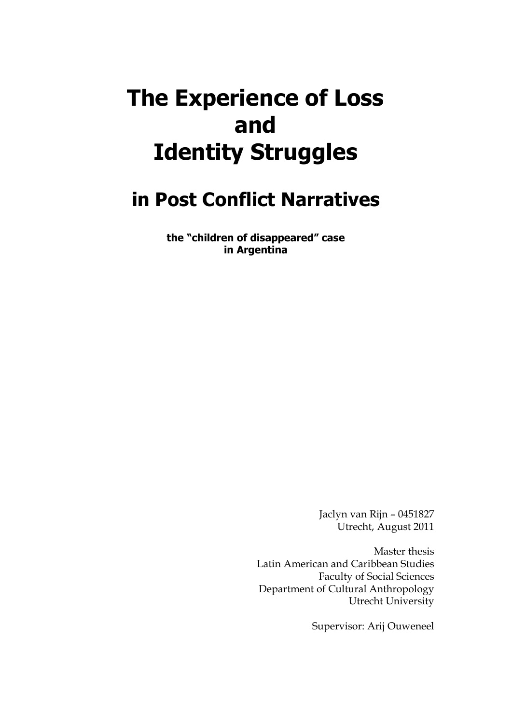# **The Experience of Loss and Identity Struggles**

## **in Post Conflict Narratives**

**the "children of disappeared" case in Argentina**

> Jaclyn van Rijn – 0451827 Utrecht, August 2011

Master thesis Latin American and Caribbean Studies Faculty of Social Sciences Department of Cultural Anthropology Utrecht University

Supervisor: Arij Ouweneel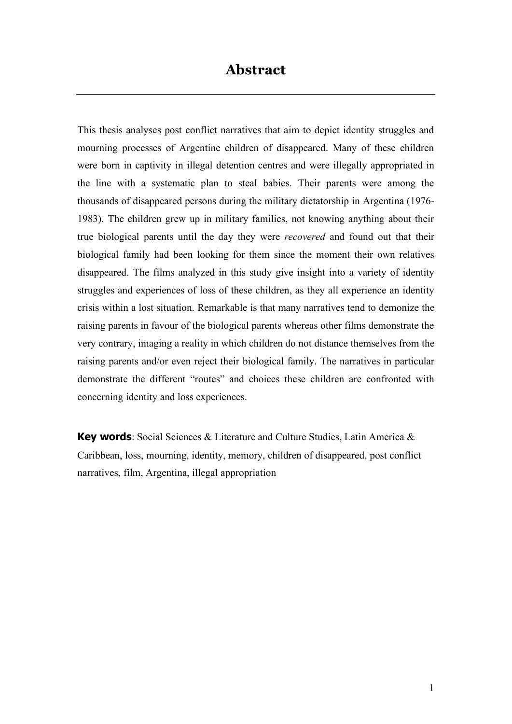### **Abstract**

This thesis analyses post conflict narratives that aim to depict identity struggles and mourning processes of Argentine children of disappeared. Many of these children were born in captivity in illegal detention centres and were illegally appropriated in the line with a systematic plan to steal babies. Their parents were among the thousands of disappeared persons during the military dictatorship in Argentina (1976- 1983). The children grew up in military families, not knowing anything about their true biological parents until the day they were *recovered* and found out that their biological family had been looking for them since the moment their own relatives disappeared. The films analyzed in this study give insight into a variety of identity struggles and experiences of loss of these children, as they all experience an identity crisis within a lost situation. Remarkable is that many narratives tend to demonize the raising parents in favour of the biological parents whereas other films demonstrate the very contrary, imaging a reality in which children do not distance themselves from the raising parents and/or even reject their biological family. The narratives in particular demonstrate the different "routes" and choices these children are confronted with concerning identity and loss experiences.

**Key words**: Social Sciences & Literature and Culture Studies, Latin America & Caribbean, loss, mourning, identity, memory, children of disappeared, post conflict narratives, film, Argentina, illegal appropriation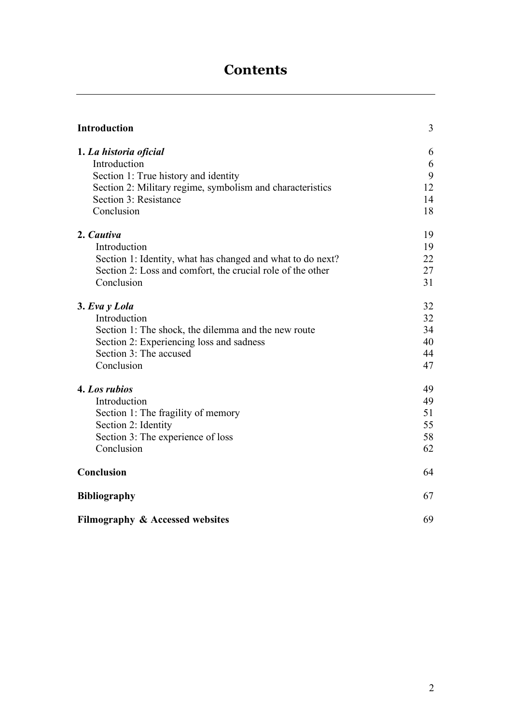## **Contents**

| Introduction                                               | 3  |
|------------------------------------------------------------|----|
| 1. La historia oficial                                     | 6  |
| Introduction                                               | 6  |
| Section 1: True history and identity                       | 9  |
| Section 2: Military regime, symbolism and characteristics  | 12 |
| Section 3: Resistance                                      | 14 |
| Conclusion                                                 | 18 |
| 2. Cautiva                                                 | 19 |
| Introduction                                               | 19 |
| Section 1: Identity, what has changed and what to do next? | 22 |
| Section 2: Loss and comfort, the crucial role of the other | 27 |
| Conclusion                                                 | 31 |
| 3. Eva y Lola                                              | 32 |
| Introduction                                               | 32 |
| Section 1: The shock, the dilemma and the new route        | 34 |
| Section 2: Experiencing loss and sadness                   | 40 |
| Section 3: The accused                                     | 44 |
| Conclusion                                                 | 47 |
| 4. Los rubios                                              | 49 |
| Introduction                                               | 49 |
| Section 1: The fragility of memory                         | 51 |
| Section 2: Identity                                        | 55 |
| Section 3: The experience of loss                          | 58 |
| Conclusion                                                 | 62 |
| Conclusion                                                 | 64 |
| <b>Bibliography</b>                                        | 67 |
| Filmography & Accessed websites                            | 69 |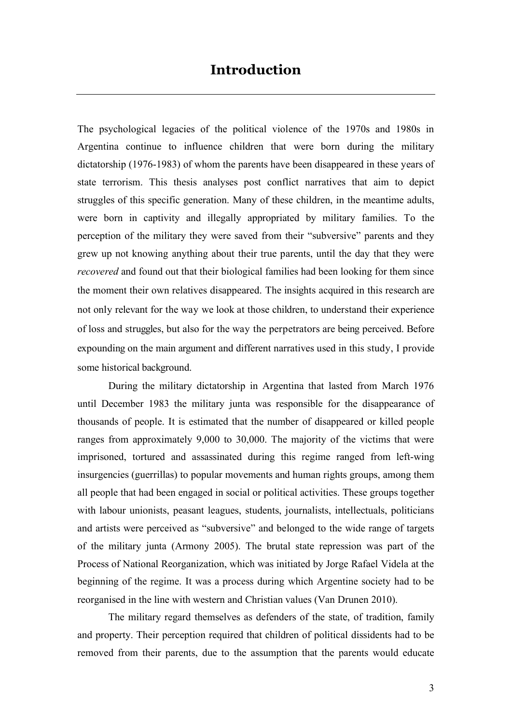The psychological legacies of the political violence of the 1970s and 1980s in Argentina continue to influence children that were born during the military dictatorship (1976-1983) of whom the parents have been disappeared in these years of state terrorism. This thesis analyses post conflict narratives that aim to depict struggles of this specific generation. Many of these children, in the meantime adults, were born in captivity and illegally appropriated by military families. To the perception of the military they were saved from their "subversive" parents and they grew up not knowing anything about their true parents, until the day that they were *recovered* and found out that their biological families had been looking for them since the moment their own relatives disappeared. The insights acquired in this research are not only relevant for the way we look at those children, to understand their experience of loss and struggles, but also for the way the perpetrators are being perceived. Before expounding on the main argument and different narratives used in this study, I provide some historical background.

During the military dictatorship in Argentina that lasted from March 1976 until December 1983 the military junta was responsible for the disappearance of thousands of people. It is estimated that the number of disappeared or killed people ranges from approximately 9,000 to 30,000. The majority of the victims that were imprisoned, tortured and assassinated during this regime ranged from left-wing insurgencies (guerrillas) to popular movements and human rights groups, among them all people that had been engaged in social or political activities. These groups together with labour unionists, peasant leagues, students, journalists, intellectuals, politicians and artists were perceived as "subversive" and belonged to the wide range of targets of the military junta (Armony 2005). The brutal state repression was part of the Process of National Reorganization, which was initiated by Jorge Rafael Videla at the beginning of the regime. It was a process during which Argentine society had to be reorganised in the line with western and Christian values (Van Drunen 2010).

The military regard themselves as defenders of the state, of tradition, family and property. Their perception required that children of political dissidents had to be removed from their parents, due to the assumption that the parents would educate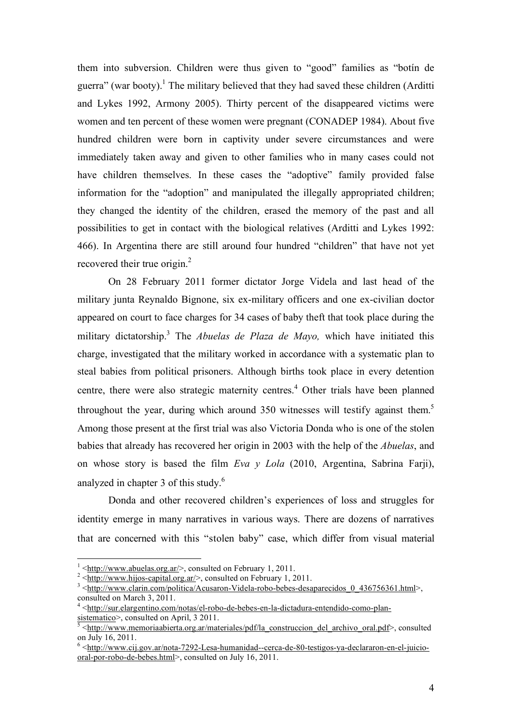them into subversion. Children were thus given to "good" families as "botín de guerra" (war booty).<sup>1</sup> The military believed that they had saved these children (Arditti and Lykes 1992, Armony 2005). Thirty percent of the disappeared victims were women and ten percent of these women were pregnant (CONADEP 1984). About five hundred children were born in captivity under severe circumstances and were immediately taken away and given to other families who in many cases could not have children themselves. In these cases the "adoptive" family provided false information for the "adoption" and manipulated the illegally appropriated children; they changed the identity of the children, erased the memory of the past and all possibilities to get in contact with the biological relatives (Arditti and Lykes 1992: 466). In Argentina there are still around four hundred "children" that have not yet recovered their true origin.<sup>2</sup>

On 28 February 2011 former dictator Jorge Videla and last head of the military junta Reynaldo Bignone, six ex-military officers and one ex-civilian doctor appeared on court to face charges for 34 cases of baby theft that took place during the military dictatorship.3 The *Abuelas de Plaza de Mayo,* which have initiated this charge, investigated that the military worked in accordance with a systematic plan to steal babies from political prisoners. Although births took place in every detention centre, there were also strategic maternity centres.<sup>4</sup> Other trials have been planned throughout the year, during which around 350 witnesses will testify against them.<sup>5</sup> Among those present at the first trial was also Victoria Donda who is one of the stolen babies that already has recovered her origin in 2003 with the help of the *Abuelas*, and on whose story is based the film *Eva y Lola* (2010, Argentina, Sabrina Farji), analyzed in chapter 3 of this study.6

Donda and other recovered children's experiences of loss and struggles for identity emerge in many narratives in various ways. There are dozens of narratives that are concerned with this "stolen baby" case, which differ from visual material

 $\frac{1}{1}$  $\frac{1}{1}$  <http://www.abuelas.org.ar/>, consulted on February 1, 2011.

 $\frac{2 \times \text{http://www.hijos-capital.org.ar/>}}{\text{http://www.hijos-capital.org.ar/>}}$ , consulted on February 1, 2011.

<sup>&</sup>lt;sup>3</sup> <http://www.clarin.com/politica/Acusaron-Videla-robo-bebes-desaparecidos\_0\_436756361.html>, consulted on March 3, 2011.

<sup>&</sup>lt;sup>4</sup> <http://sur.elargentino.com/notas/el-robo-de-bebes-en-la-dictadura-entendido-como-plan $s$ istematico >, consulted on April, 3 2011.

<sup>&</sup>lt;http://www.memoriaabierta.org.ar/materiales/pdf/la\_construccion\_del\_archivo\_oral.pdf>, consulted on July 16, 2011.

 $6 \leq \frac{\text{http://www.cij.gov.ar/nota-7292-Lesa-humanidad-cerca-de-80-testigos-ya-declararon-en-el-juicio-}{}$ oral-por-robo-de-bebes.html>, consulted on July 16, 2011.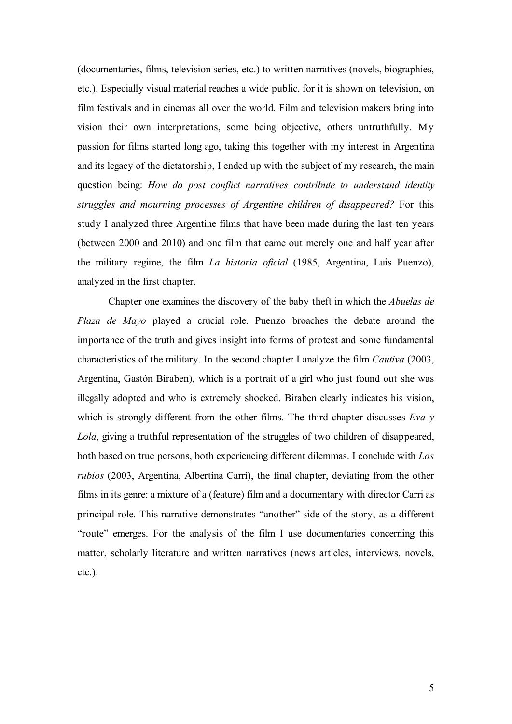(documentaries, films, television series, etc.) to written narratives (novels, biographies, etc.). Especially visual material reaches a wide public, for it is shown on television, on film festivals and in cinemas all over the world. Film and television makers bring into vision their own interpretations, some being objective, others untruthfully. My passion for films started long ago, taking this together with my interest in Argentina and its legacy of the dictatorship, I ended up with the subject of my research, the main question being: *How do post conflict narratives contribute to understand identity struggles and mourning processes of Argentine children of disappeared?* For this study I analyzed three Argentine films that have been made during the last ten years (between 2000 and 2010) and one film that came out merely one and half year after the military regime, the film *La historia oficial* (1985, Argentina, Luis Puenzo), analyzed in the first chapter.

Chapter one examines the discovery of the baby theft in which the *Abuelas de Plaza de Mayo* played a crucial role. Puenzo broaches the debate around the importance of the truth and gives insight into forms of protest and some fundamental characteristics of the military. In the second chapter I analyze the film *Cautiva* (2003, Argentina, Gastón Biraben)*,* which is a portrait of a girl who just found out she was illegally adopted and who is extremely shocked. Biraben clearly indicates his vision, which is strongly different from the other films. The third chapter discusses *Eva y Lola*, giving a truthful representation of the struggles of two children of disappeared, both based on true persons, both experiencing different dilemmas. I conclude with *Los rubios* (2003, Argentina, Albertina Carri), the final chapter, deviating from the other films in its genre: a mixture of a (feature) film and a documentary with director Carri as principal role. This narrative demonstrates "another" side of the story, as a different "route" emerges. For the analysis of the film I use documentaries concerning this matter, scholarly literature and written narratives (news articles, interviews, novels, etc.).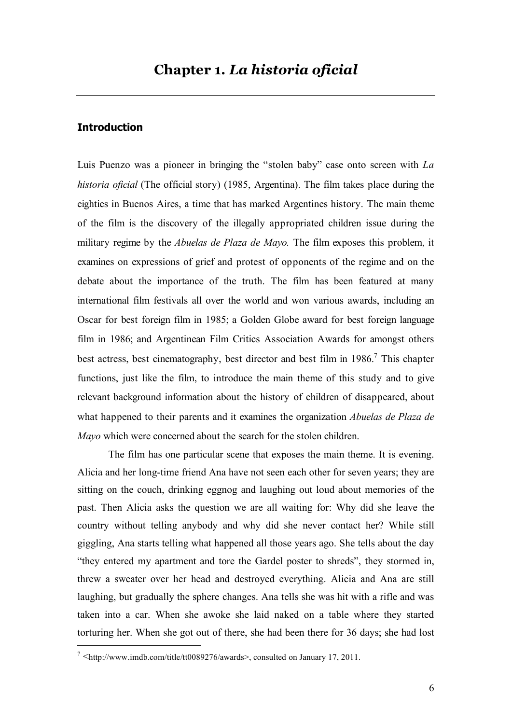#### **Introduction**

Luis Puenzo was a pioneer in bringing the "stolen baby" case onto screen with *La historia oficial* (The official story) (1985, Argentina). The film takes place during the eighties in Buenos Aires, a time that has marked Argentines history. The main theme of the film is the discovery of the illegally appropriated children issue during the military regime by the *Abuelas de Plaza de Mayo.* The film exposes this problem, it examines on expressions of grief and protest of opponents of the regime and on the debate about the importance of the truth. The film has been featured at many international film festivals all over the world and won various awards, including an Oscar for best foreign film in 1985; a Golden Globe award for best foreign language film in 1986; and Argentinean Film Critics Association Awards for amongst others best actress, best cinematography, best director and best film in 1986.<sup>7</sup> This chapter functions, just like the film, to introduce the main theme of this study and to give relevant background information about the history of children of disappeared, about what happened to their parents and it examines the organization *Abuelas de Plaza de Mayo* which were concerned about the search for the stolen children.

The film has one particular scene that exposes the main theme. It is evening. Alicia and her long-time friend Ana have not seen each other for seven years; they are sitting on the couch, drinking eggnog and laughing out loud about memories of the past. Then Alicia asks the question we are all waiting for: Why did she leave the country without telling anybody and why did she never contact her? While still giggling, Ana starts telling what happened all those years ago. She tells about the day "they entered my apartment and tore the Gardel poster to shreds", they stormed in, threw a sweater over her head and destroyed everything. Alicia and Ana are still laughing, but gradually the sphere changes. Ana tells she was hit with a rifle and was taken into a car. When she awoke she laid naked on a table where they started torturing her. When she got out of there, she had been there for 36 days; she had lost

<sup>–&</sup>lt;br>7  $\frac{7}{100}$  Shttp://www.imdb.com/title/tt0089276/awards> consulted on January 17, 2011.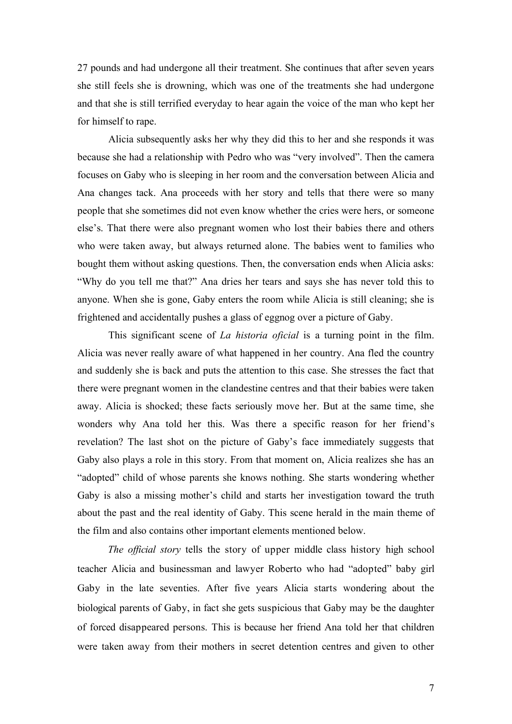27 pounds and had undergone all their treatment. She continues that after seven years she still feels she is drowning, which was one of the treatments she had undergone and that she is still terrified everyday to hear again the voice of the man who kept her for himself to rape.

Alicia subsequently asks her why they did this to her and she responds it was because she had a relationship with Pedro who was "very involved". Then the camera focuses on Gaby who is sleeping in her room and the conversation between Alicia and Ana changes tack. Ana proceeds with her story and tells that there were so many people that she sometimes did not even know whether the cries were hers, or someone else's. That there were also pregnant women who lost their babies there and others who were taken away, but always returned alone. The babies went to families who bought them without asking questions. Then, the conversation ends when Alicia asks: "Why do you tell me that?" Ana dries her tears and says she has never told this to anyone. When she is gone, Gaby enters the room while Alicia is still cleaning; she is frightened and accidentally pushes a glass of eggnog over a picture of Gaby.

This significant scene of *La historia oficial* is a turning point in the film. Alicia was never really aware of what happened in her country. Ana fled the country and suddenly she is back and puts the attention to this case. She stresses the fact that there were pregnant women in the clandestine centres and that their babies were taken away. Alicia is shocked; these facts seriously move her. But at the same time, she wonders why Ana told her this. Was there a specific reason for her friend's revelation? The last shot on the picture of Gaby's face immediately suggests that Gaby also plays a role in this story. From that moment on, Alicia realizes she has an "adopted" child of whose parents she knows nothing. She starts wondering whether Gaby is also a missing mother's child and starts her investigation toward the truth about the past and the real identity of Gaby. This scene herald in the main theme of the film and also contains other important elements mentioned below.

*The official story* tells the story of upper middle class history high school teacher Alicia and businessman and lawyer Roberto who had "adopted" baby girl Gaby in the late seventies. After five years Alicia starts wondering about the biological parents of Gaby, in fact she gets suspicious that Gaby may be the daughter of forced disappeared persons. This is because her friend Ana told her that children were taken away from their mothers in secret detention centres and given to other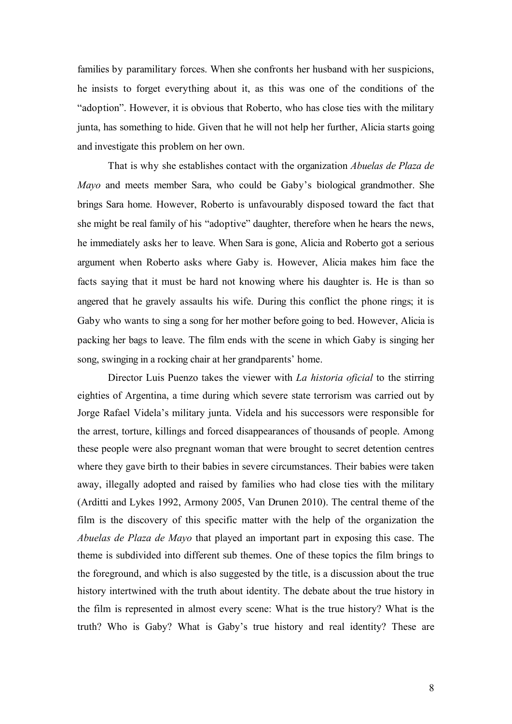families by paramilitary forces. When she confronts her husband with her suspicions, he insists to forget everything about it, as this was one of the conditions of the "adoption". However, it is obvious that Roberto, who has close ties with the military junta, has something to hide. Given that he will not help her further, Alicia starts going and investigate this problem on her own.

That is why she establishes contact with the organization *Abuelas de Plaza de Mayo* and meets member Sara, who could be Gaby's biological grandmother. She brings Sara home. However, Roberto is unfavourably disposed toward the fact that she might be real family of his "adoptive" daughter, therefore when he hears the news, he immediately asks her to leave. When Sara is gone, Alicia and Roberto got a serious argument when Roberto asks where Gaby is. However, Alicia makes him face the facts saying that it must be hard not knowing where his daughter is. He is than so angered that he gravely assaults his wife. During this conflict the phone rings; it is Gaby who wants to sing a song for her mother before going to bed. However, Alicia is packing her bags to leave. The film ends with the scene in which Gaby is singing her song, swinging in a rocking chair at her grandparents' home.

Director Luis Puenzo takes the viewer with *La historia oficial* to the stirring eighties of Argentina, a time during which severe state terrorism was carried out by Jorge Rafael Videla's military junta. Videla and his successors were responsible for the arrest, torture, killings and forced disappearances of thousands of people. Among these people were also pregnant woman that were brought to secret detention centres where they gave birth to their babies in severe circumstances. Their babies were taken away, illegally adopted and raised by families who had close ties with the military (Arditti and Lykes 1992, Armony 2005, Van Drunen 2010). The central theme of the film is the discovery of this specific matter with the help of the organization the *Abuelas de Plaza de Mayo* that played an important part in exposing this case. The theme is subdivided into different sub themes. One of these topics the film brings to the foreground, and which is also suggested by the title, is a discussion about the true history intertwined with the truth about identity. The debate about the true history in the film is represented in almost every scene: What is the true history? What is the truth? Who is Gaby? What is Gaby's true history and real identity? These are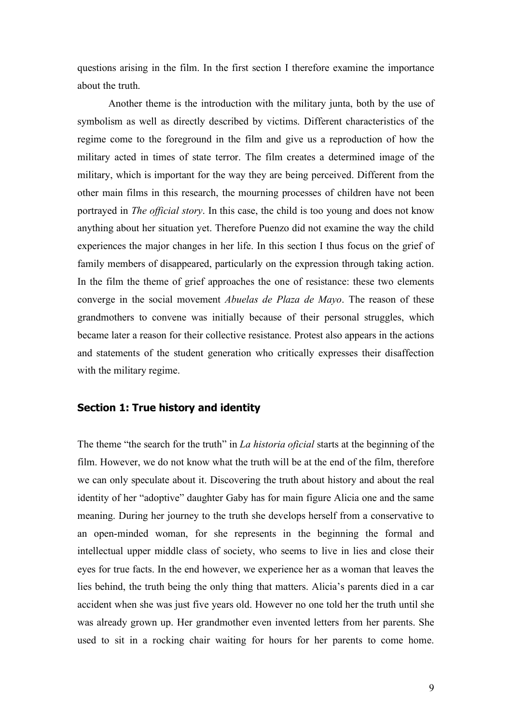questions arising in the film. In the first section I therefore examine the importance about the truth.

Another theme is the introduction with the military junta, both by the use of symbolism as well as directly described by victims. Different characteristics of the regime come to the foreground in the film and give us a reproduction of how the military acted in times of state terror. The film creates a determined image of the military, which is important for the way they are being perceived. Different from the other main films in this research, the mourning processes of children have not been portrayed in *The official story*. In this case, the child is too young and does not know anything about her situation yet. Therefore Puenzo did not examine the way the child experiences the major changes in her life. In this section I thus focus on the grief of family members of disappeared, particularly on the expression through taking action. In the film the theme of grief approaches the one of resistance: these two elements converge in the social movement *Abuelas de Plaza de Mayo*. The reason of these grandmothers to convene was initially because of their personal struggles, which became later a reason for their collective resistance. Protest also appears in the actions and statements of the student generation who critically expresses their disaffection with the military regime.

#### **Section 1: True history and identity**

The theme "the search for the truth" in *La historia oficial* starts at the beginning of the film. However, we do not know what the truth will be at the end of the film, therefore we can only speculate about it. Discovering the truth about history and about the real identity of her "adoptive" daughter Gaby has for main figure Alicia one and the same meaning. During her journey to the truth she develops herself from a conservative to an open-minded woman, for she represents in the beginning the formal and intellectual upper middle class of society, who seems to live in lies and close their eyes for true facts. In the end however, we experience her as a woman that leaves the lies behind, the truth being the only thing that matters. Alicia's parents died in a car accident when she was just five years old. However no one told her the truth until she was already grown up. Her grandmother even invented letters from her parents. She used to sit in a rocking chair waiting for hours for her parents to come home.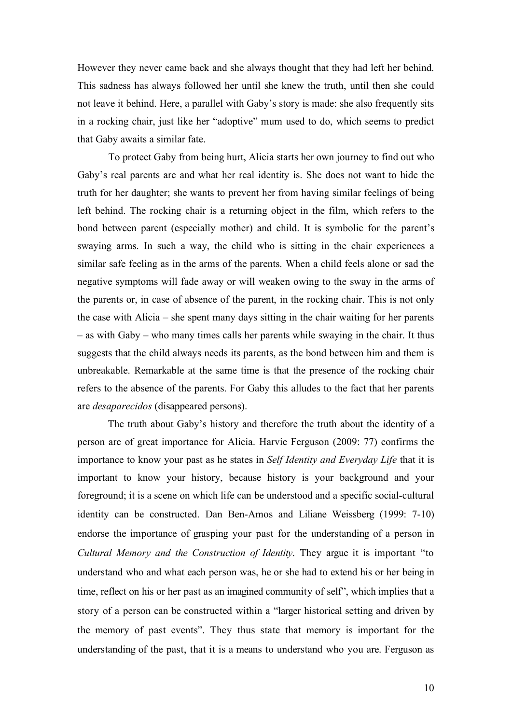However they never came back and she always thought that they had left her behind. This sadness has always followed her until she knew the truth, until then she could not leave it behind. Here, a parallel with Gaby's story is made: she also frequently sits in a rocking chair, just like her "adoptive" mum used to do, which seems to predict that Gaby awaits a similar fate.

To protect Gaby from being hurt, Alicia starts her own journey to find out who Gaby's real parents are and what her real identity is. She does not want to hide the truth for her daughter; she wants to prevent her from having similar feelings of being left behind. The rocking chair is a returning object in the film, which refers to the bond between parent (especially mother) and child. It is symbolic for the parent's swaying arms. In such a way, the child who is sitting in the chair experiences a similar safe feeling as in the arms of the parents. When a child feels alone or sad the negative symptoms will fade away or will weaken owing to the sway in the arms of the parents or, in case of absence of the parent, in the rocking chair. This is not only the case with Alicia – she spent many days sitting in the chair waiting for her parents – as with Gaby – who many times calls her parents while swaying in the chair. It thus suggests that the child always needs its parents, as the bond between him and them is unbreakable. Remarkable at the same time is that the presence of the rocking chair refers to the absence of the parents. For Gaby this alludes to the fact that her parents are *desaparecidos* (disappeared persons).

The truth about Gaby's history and therefore the truth about the identity of a person are of great importance for Alicia. Harvie Ferguson (2009: 77) confirms the importance to know your past as he states in *Self Identity and Everyday Life* that it is important to know your history, because history is your background and your foreground; it is a scene on which life can be understood and a specific social-cultural identity can be constructed. Dan Ben-Amos and Liliane Weissberg (1999: 7-10) endorse the importance of grasping your past for the understanding of a person in *Cultural Memory and the Construction of Identity*. They argue it is important "to understand who and what each person was, he or she had to extend his or her being in time, reflect on his or her past as an imagined community of self", which implies that a story of a person can be constructed within a "larger historical setting and driven by the memory of past events". They thus state that memory is important for the understanding of the past, that it is a means to understand who you are. Ferguson as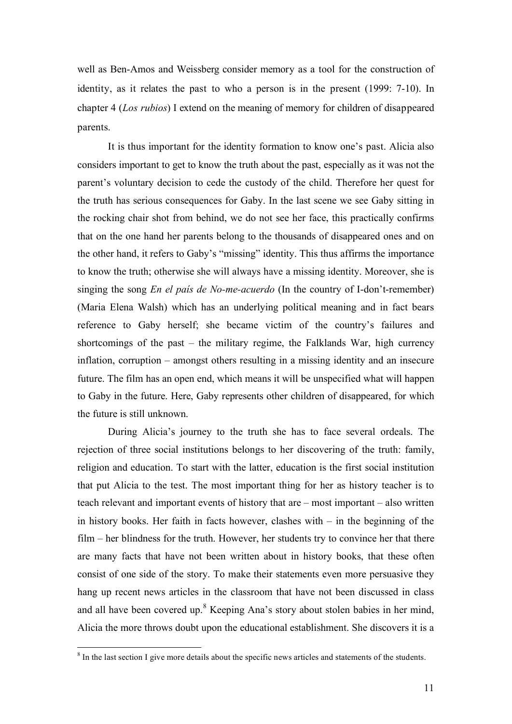well as Ben-Amos and Weissberg consider memory as a tool for the construction of identity, as it relates the past to who a person is in the present (1999: 7-10). In chapter 4 (*Los rubios*) I extend on the meaning of memory for children of disappeared parents.

It is thus important for the identity formation to know one's past. Alicia also considers important to get to know the truth about the past, especially as it was not the parent's voluntary decision to cede the custody of the child. Therefore her quest for the truth has serious consequences for Gaby. In the last scene we see Gaby sitting in the rocking chair shot from behind, we do not see her face, this practically confirms that on the one hand her parents belong to the thousands of disappeared ones and on the other hand, it refers to Gaby's "missing" identity. This thus affirms the importance to know the truth; otherwise she will always have a missing identity. Moreover, she is singing the song *En el país de No-me-acuerdo* (In the country of I-don't-remember) (Maria Elena Walsh) which has an underlying political meaning and in fact bears reference to Gaby herself; she became victim of the country's failures and shortcomings of the past – the military regime, the Falklands War, high currency inflation, corruption – amongst others resulting in a missing identity and an insecure future. The film has an open end, which means it will be unspecified what will happen to Gaby in the future. Here, Gaby represents other children of disappeared, for which the future is still unknown.

During Alicia's journey to the truth she has to face several ordeals. The rejection of three social institutions belongs to her discovering of the truth: family, religion and education. To start with the latter, education is the first social institution that put Alicia to the test. The most important thing for her as history teacher is to teach relevant and important events of history that are – most important – also written in history books. Her faith in facts however, clashes with  $-$  in the beginning of the film – her blindness for the truth. However, her students try to convince her that there are many facts that have not been written about in history books, that these often consist of one side of the story. To make their statements even more persuasive they hang up recent news articles in the classroom that have not been discussed in class and all have been covered up.<sup>8</sup> Keeping Ana's story about stolen babies in her mind, Alicia the more throws doubt upon the educational establishment. She discovers it is a

 $\frac{1}{8}$ <sup>8</sup> In the last section I give more details about the specific news articles and statements of the students.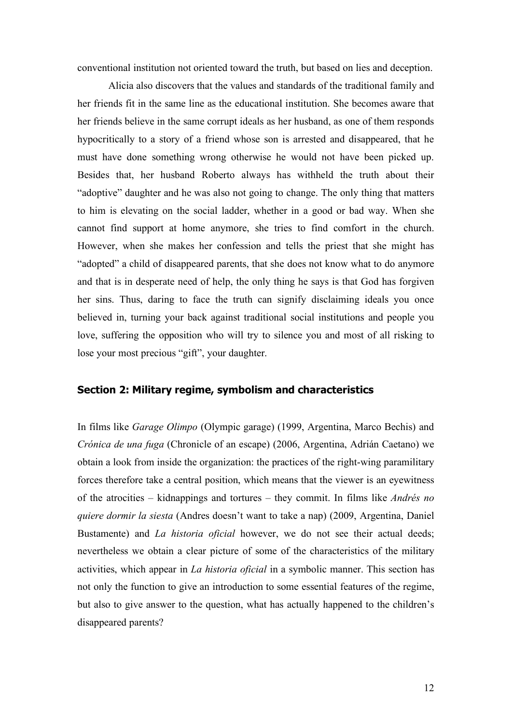conventional institution not oriented toward the truth, but based on lies and deception.

Alicia also discovers that the values and standards of the traditional family and her friends fit in the same line as the educational institution. She becomes aware that her friends believe in the same corrupt ideals as her husband, as one of them responds hypocritically to a story of a friend whose son is arrested and disappeared, that he must have done something wrong otherwise he would not have been picked up. Besides that, her husband Roberto always has withheld the truth about their "adoptive" daughter and he was also not going to change. The only thing that matters to him is elevating on the social ladder, whether in a good or bad way. When she cannot find support at home anymore, she tries to find comfort in the church. However, when she makes her confession and tells the priest that she might has "adopted" a child of disappeared parents, that she does not know what to do anymore and that is in desperate need of help, the only thing he says is that God has forgiven her sins. Thus, daring to face the truth can signify disclaiming ideals you once believed in, turning your back against traditional social institutions and people you love, suffering the opposition who will try to silence you and most of all risking to lose your most precious "gift", your daughter.

#### **Section 2: Military regime, symbolism and characteristics**

In films like *Garage Olimpo* (Olympic garage) (1999, Argentina, Marco Bechis) and *Crónica de una fuga* (Chronicle of an escape) (2006, Argentina, Adrián Caetano) we obtain a look from inside the organization: the practices of the right-wing paramilitary forces therefore take a central position, which means that the viewer is an eyewitness of the atrocities – kidnappings and tortures – they commit. In films like *Andrés no quiere dormir la siesta* (Andres doesn't want to take a nap) (2009, Argentina, Daniel Bustamente) and *La historia oficial* however, we do not see their actual deeds; nevertheless we obtain a clear picture of some of the characteristics of the military activities, which appear in *La historia oficial* in a symbolic manner. This section has not only the function to give an introduction to some essential features of the regime, but also to give answer to the question, what has actually happened to the children's disappeared parents?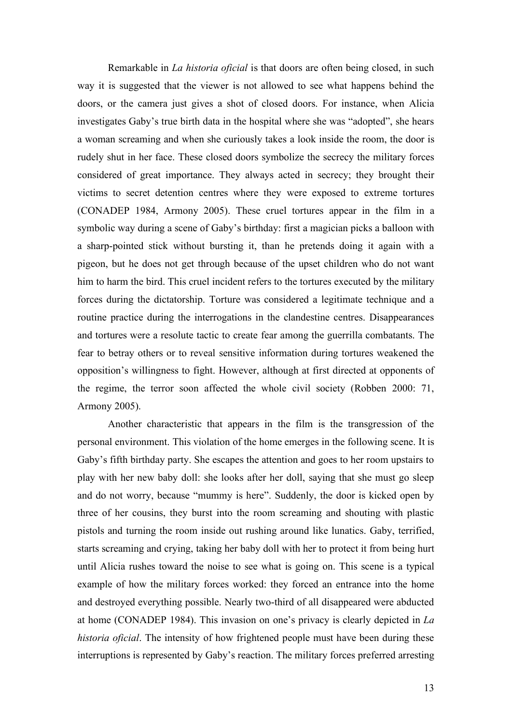Remarkable in *La historia oficial* is that doors are often being closed, in such way it is suggested that the viewer is not allowed to see what happens behind the doors, or the camera just gives a shot of closed doors. For instance, when Alicia investigates Gaby's true birth data in the hospital where she was "adopted", she hears a woman screaming and when she curiously takes a look inside the room, the door is rudely shut in her face. These closed doors symbolize the secrecy the military forces considered of great importance. They always acted in secrecy; they brought their victims to secret detention centres where they were exposed to extreme tortures (CONADEP 1984, Armony 2005). These cruel tortures appear in the film in a symbolic way during a scene of Gaby's birthday: first a magician picks a balloon with a sharp-pointed stick without bursting it, than he pretends doing it again with a pigeon, but he does not get through because of the upset children who do not want him to harm the bird. This cruel incident refers to the tortures executed by the military forces during the dictatorship. Torture was considered a legitimate technique and a routine practice during the interrogations in the clandestine centres. Disappearances and tortures were a resolute tactic to create fear among the guerrilla combatants. The fear to betray others or to reveal sensitive information during tortures weakened the opposition's willingness to fight. However, although at first directed at opponents of the regime, the terror soon affected the whole civil society (Robben 2000: 71, Armony 2005).

Another characteristic that appears in the film is the transgression of the personal environment. This violation of the home emerges in the following scene. It is Gaby's fifth birthday party. She escapes the attention and goes to her room upstairs to play with her new baby doll: she looks after her doll, saying that she must go sleep and do not worry, because "mummy is here". Suddenly, the door is kicked open by three of her cousins, they burst into the room screaming and shouting with plastic pistols and turning the room inside out rushing around like lunatics. Gaby, terrified, starts screaming and crying, taking her baby doll with her to protect it from being hurt until Alicia rushes toward the noise to see what is going on. This scene is a typical example of how the military forces worked: they forced an entrance into the home and destroyed everything possible. Nearly two-third of all disappeared were abducted at home (CONADEP 1984). This invasion on one's privacy is clearly depicted in *La historia oficial*. The intensity of how frightened people must have been during these interruptions is represented by Gaby's reaction. The military forces preferred arresting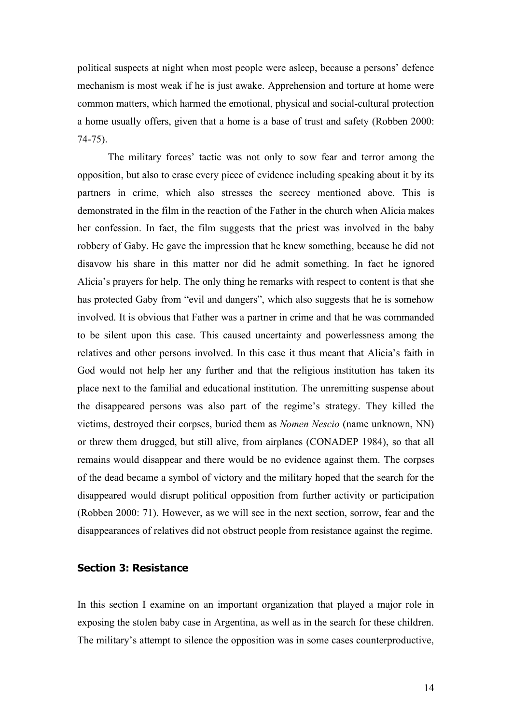political suspects at night when most people were asleep, because a persons' defence mechanism is most weak if he is just awake. Apprehension and torture at home were common matters, which harmed the emotional, physical and social-cultural protection a home usually offers, given that a home is a base of trust and safety (Robben 2000: 74-75).

The military forces' tactic was not only to sow fear and terror among the opposition, but also to erase every piece of evidence including speaking about it by its partners in crime, which also stresses the secrecy mentioned above. This is demonstrated in the film in the reaction of the Father in the church when Alicia makes her confession. In fact, the film suggests that the priest was involved in the baby robbery of Gaby. He gave the impression that he knew something, because he did not disavow his share in this matter nor did he admit something. In fact he ignored Alicia's prayers for help. The only thing he remarks with respect to content is that she has protected Gaby from "evil and dangers", which also suggests that he is somehow involved. It is obvious that Father was a partner in crime and that he was commanded to be silent upon this case. This caused uncertainty and powerlessness among the relatives and other persons involved. In this case it thus meant that Alicia's faith in God would not help her any further and that the religious institution has taken its place next to the familial and educational institution. The unremitting suspense about the disappeared persons was also part of the regime's strategy. They killed the victims, destroyed their corpses, buried them as *Nomen Nescio* (name unknown, NN) or threw them drugged, but still alive, from airplanes (CONADEP 1984), so that all remains would disappear and there would be no evidence against them. The corpses of the dead became a symbol of victory and the military hoped that the search for the disappeared would disrupt political opposition from further activity or participation (Robben 2000: 71). However, as we will see in the next section, sorrow, fear and the disappearances of relatives did not obstruct people from resistance against the regime.

#### **Section 3: Resistance**

In this section I examine on an important organization that played a major role in exposing the stolen baby case in Argentina, as well as in the search for these children. The military's attempt to silence the opposition was in some cases counterproductive,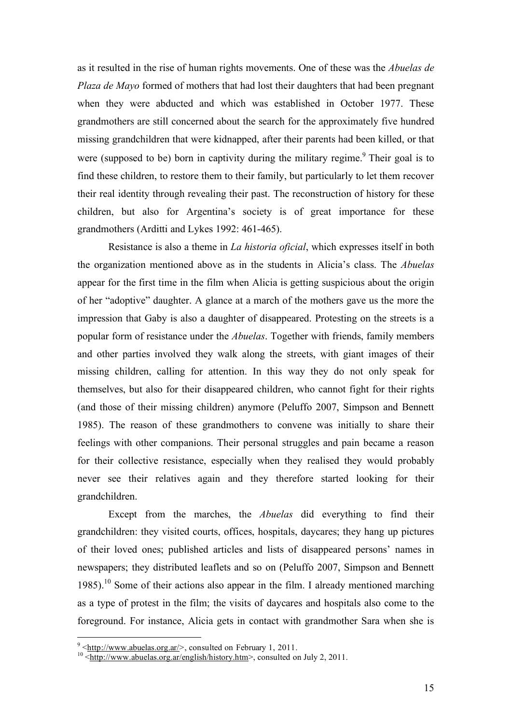as it resulted in the rise of human rights movements. One of these was the *Abuelas de Plaza de Mayo* formed of mothers that had lost their daughters that had been pregnant when they were abducted and which was established in October 1977. These grandmothers are still concerned about the search for the approximately five hundred missing grandchildren that were kidnapped, after their parents had been killed, or that were (supposed to be) born in captivity during the military regime.<sup>9</sup> Their goal is to find these children, to restore them to their family, but particularly to let them recover their real identity through revealing their past. The reconstruction of history for these children, but also for Argentina's society is of great importance for these grandmothers (Arditti and Lykes 1992: 461-465).

Resistance is also a theme in *La historia oficial*, which expresses itself in both the organization mentioned above as in the students in Alicia's class. The *Abuelas* appear for the first time in the film when Alicia is getting suspicious about the origin of her "adoptive" daughter. A glance at a march of the mothers gave us the more the impression that Gaby is also a daughter of disappeared. Protesting on the streets is a popular form of resistance under the *Abuelas*. Together with friends, family members and other parties involved they walk along the streets, with giant images of their missing children, calling for attention. In this way they do not only speak for themselves, but also for their disappeared children, who cannot fight for their rights (and those of their missing children) anymore (Peluffo 2007, Simpson and Bennett 1985). The reason of these grandmothers to convene was initially to share their feelings with other companions. Their personal struggles and pain became a reason for their collective resistance, especially when they realised they would probably never see their relatives again and they therefore started looking for their grandchildren.

Except from the marches, the *Abuelas* did everything to find their grandchildren: they visited courts, offices, hospitals, daycares; they hang up pictures of their loved ones; published articles and lists of disappeared persons' names in newspapers; they distributed leaflets and so on (Peluffo 2007, Simpson and Bennett 1985).<sup>10</sup> Some of their actions also appear in the film. I already mentioned marching as a type of protest in the film; the visits of daycares and hospitals also come to the foreground. For instance, Alicia gets in contact with grandmother Sara when she is

<sup>-&</sup>lt;br>9

<sup>&</sup>lt;sup>9</sup> <http://www.abuelas.org.ar/>, consulted on February 1, 2011.<br><sup>10</sup> <http://www.abuelas.org.ar/english/history.htm>, consulted on July 2, 2011.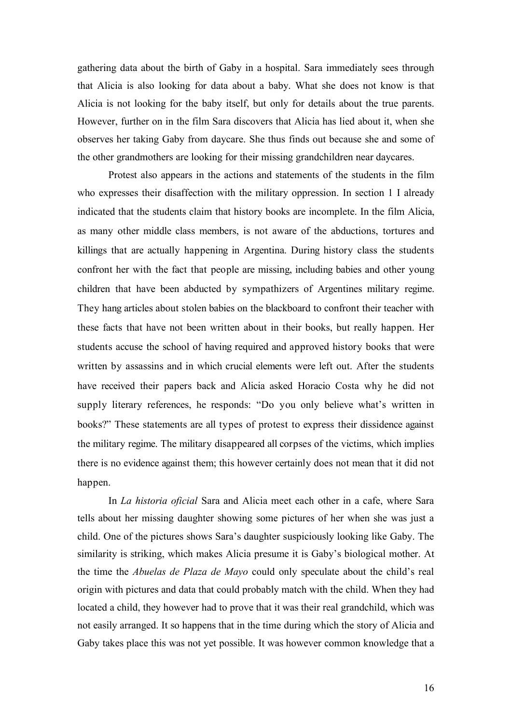gathering data about the birth of Gaby in a hospital. Sara immediately sees through that Alicia is also looking for data about a baby. What she does not know is that Alicia is not looking for the baby itself, but only for details about the true parents. However, further on in the film Sara discovers that Alicia has lied about it, when she observes her taking Gaby from daycare. She thus finds out because she and some of the other grandmothers are looking for their missing grandchildren near daycares.

Protest also appears in the actions and statements of the students in the film who expresses their disaffection with the military oppression. In section 1 I already indicated that the students claim that history books are incomplete. In the film Alicia, as many other middle class members, is not aware of the abductions, tortures and killings that are actually happening in Argentina. During history class the students confront her with the fact that people are missing, including babies and other young children that have been abducted by sympathizers of Argentines military regime. They hang articles about stolen babies on the blackboard to confront their teacher with these facts that have not been written about in their books, but really happen. Her students accuse the school of having required and approved history books that were written by assassins and in which crucial elements were left out. After the students have received their papers back and Alicia asked Horacio Costa why he did not supply literary references, he responds: "Do you only believe what's written in books?" These statements are all types of protest to express their dissidence against the military regime. The military disappeared all corpses of the victims, which implies there is no evidence against them; this however certainly does not mean that it did not happen.

In *La historia oficial* Sara and Alicia meet each other in a cafe, where Sara tells about her missing daughter showing some pictures of her when she was just a child. One of the pictures shows Sara's daughter suspiciously looking like Gaby. The similarity is striking, which makes Alicia presume it is Gaby's biological mother. At the time the *Abuelas de Plaza de Mayo* could only speculate about the child's real origin with pictures and data that could probably match with the child. When they had located a child, they however had to prove that it was their real grandchild, which was not easily arranged. It so happens that in the time during which the story of Alicia and Gaby takes place this was not yet possible. It was however common knowledge that a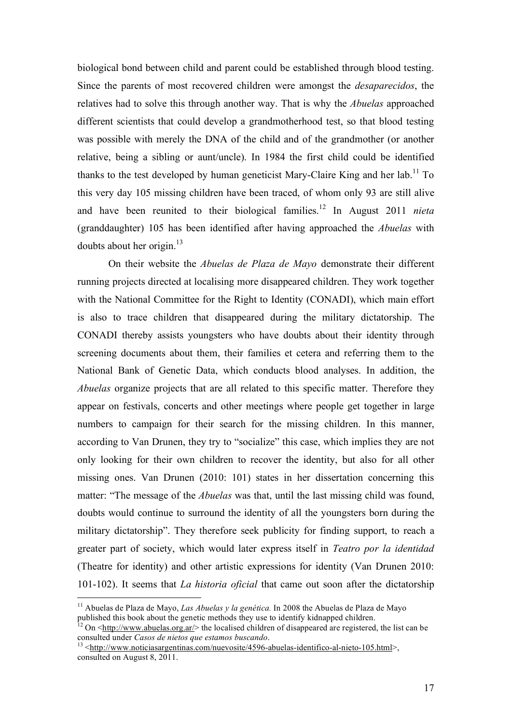biological bond between child and parent could be established through blood testing. Since the parents of most recovered children were amongst the *desaparecidos*, the relatives had to solve this through another way. That is why the *Abuelas* approached different scientists that could develop a grandmotherhood test, so that blood testing was possible with merely the DNA of the child and of the grandmother (or another relative, being a sibling or aunt/uncle). In 1984 the first child could be identified thanks to the test developed by human geneticist Mary-Claire King and her  $\text{lab.}^{11}$  To this very day 105 missing children have been traced, of whom only 93 are still alive and have been reunited to their biological families.12 In August 2011 *nieta* (granddaughter) 105 has been identified after having approached the *Abuelas* with doubts about her origin.<sup>13</sup>

On their website the *Abuelas de Plaza de Mayo* demonstrate their different running projects directed at localising more disappeared children. They work together with the National Committee for the Right to Identity (CONADI), which main effort is also to trace children that disappeared during the military dictatorship. The CONADI thereby assists youngsters who have doubts about their identity through screening documents about them, their families et cetera and referring them to the National Bank of Genetic Data, which conducts blood analyses. In addition, the *Abuelas* organize projects that are all related to this specific matter. Therefore they appear on festivals, concerts and other meetings where people get together in large numbers to campaign for their search for the missing children. In this manner, according to Van Drunen, they try to "socialize" this case, which implies they are not only looking for their own children to recover the identity, but also for all other missing ones. Van Drunen (2010: 101) states in her dissertation concerning this matter: "The message of the *Abuelas* was that, until the last missing child was found, doubts would continue to surround the identity of all the youngsters born during the military dictatorship". They therefore seek publicity for finding support, to reach a greater part of society, which would later express itself in *Teatro por la identidad*  (Theatre for identity) and other artistic expressions for identity (Van Drunen 2010: 101-102). It seems that *La historia oficial* that came out soon after the dictatorship

 <sup>11</sup> Abuelas de Plaza de Mayo, *Las Abuelas y la genética.* In 2008 the Abuelas de Plaza de Mayo

published this book about the genetic methods they use to identify kidnapped children.<br><sup>12</sup> On <http://www.abuelas.org.ar/> the localised children of disappeared are registered, the list can be consulted under *Casos de n* 

<sup>&</sup>lt;sup>13</sup> <http://www.noticiasargentinas.com/nuevosite/4596-abuelas-identifico-al-nieto-105.html>, consulted on August 8, 2011.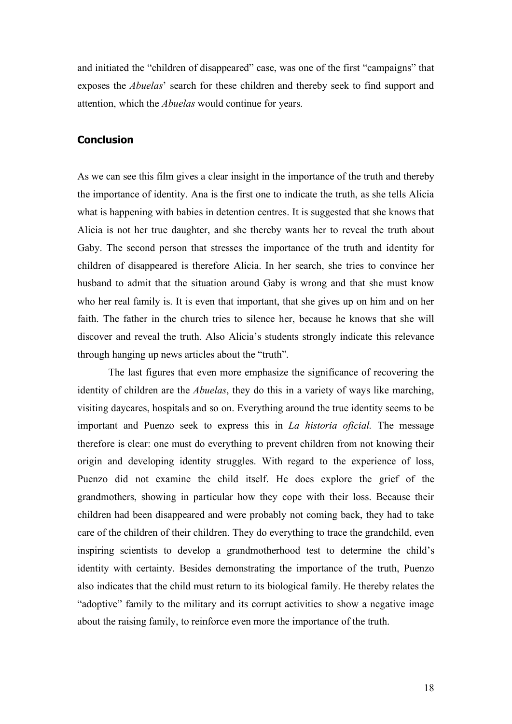and initiated the "children of disappeared" case, was one of the first "campaigns" that exposes the *Abuelas*' search for these children and thereby seek to find support and attention, which the *Abuelas* would continue for years.

#### **Conclusion**

As we can see this film gives a clear insight in the importance of the truth and thereby the importance of identity. Ana is the first one to indicate the truth, as she tells Alicia what is happening with babies in detention centres. It is suggested that she knows that Alicia is not her true daughter, and she thereby wants her to reveal the truth about Gaby. The second person that stresses the importance of the truth and identity for children of disappeared is therefore Alicia. In her search, she tries to convince her husband to admit that the situation around Gaby is wrong and that she must know who her real family is. It is even that important, that she gives up on him and on her faith. The father in the church tries to silence her, because he knows that she will discover and reveal the truth. Also Alicia's students strongly indicate this relevance through hanging up news articles about the "truth".

The last figures that even more emphasize the significance of recovering the identity of children are the *Abuelas*, they do this in a variety of ways like marching, visiting daycares, hospitals and so on. Everything around the true identity seems to be important and Puenzo seek to express this in *La historia oficial.* The message therefore is clear: one must do everything to prevent children from not knowing their origin and developing identity struggles. With regard to the experience of loss, Puenzo did not examine the child itself. He does explore the grief of the grandmothers, showing in particular how they cope with their loss. Because their children had been disappeared and were probably not coming back, they had to take care of the children of their children. They do everything to trace the grandchild, even inspiring scientists to develop a grandmotherhood test to determine the child's identity with certainty. Besides demonstrating the importance of the truth, Puenzo also indicates that the child must return to its biological family. He thereby relates the "adoptive" family to the military and its corrupt activities to show a negative image about the raising family, to reinforce even more the importance of the truth.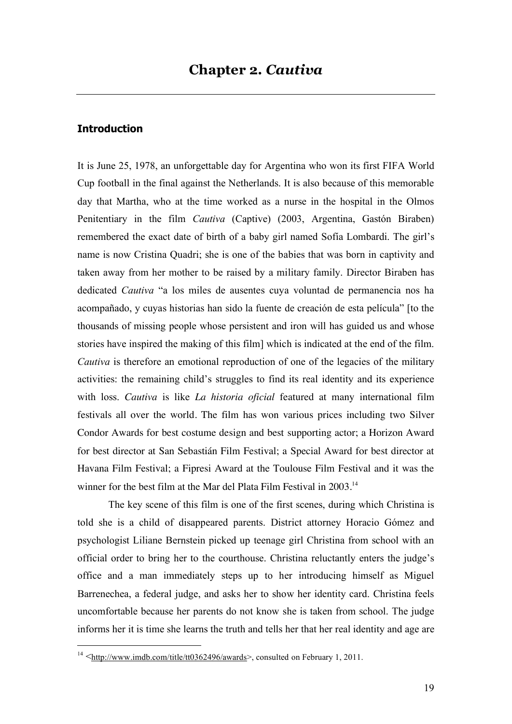#### **Introduction**

It is June 25, 1978, an unforgettable day for Argentina who won its first FIFA World Cup football in the final against the Netherlands. It is also because of this memorable day that Martha, who at the time worked as a nurse in the hospital in the Olmos Penitentiary in the film *Cautiva* (Captive) (2003, Argentina, Gastón Biraben) remembered the exact date of birth of a baby girl named Sofía Lombardi. The girl's name is now Cristina Quadri; she is one of the babies that was born in captivity and taken away from her mother to be raised by a military family. Director Biraben has dedicated *Cautiva* "a los miles de ausentes cuya voluntad de permanencia nos ha acompañado, y cuyas historias han sido la fuente de creación de esta película" [to the thousands of missing people whose persistent and iron will has guided us and whose stories have inspired the making of this film] which is indicated at the end of the film. *Cautiva* is therefore an emotional reproduction of one of the legacies of the military activities: the remaining child's struggles to find its real identity and its experience with loss. *Cautiva* is like *La historia oficial* featured at many international film festivals all over the world. The film has won various prices including two Silver Condor Awards for best costume design and best supporting actor; a Horizon Award for best director at San Sebastián Film Festival; a Special Award for best director at Havana Film Festival; a Fipresi Award at the Toulouse Film Festival and it was the winner for the best film at the Mar del Plata Film Festival in 2003.<sup>14</sup>

The key scene of this film is one of the first scenes, during which Christina is told she is a child of disappeared parents. District attorney Horacio Gómez and psychologist Liliane Bernstein picked up teenage girl Christina from school with an official order to bring her to the courthouse. Christina reluctantly enters the judge's office and a man immediately steps up to her introducing himself as Miguel Barrenechea, a federal judge, and asks her to show her identity card. Christina feels uncomfortable because her parents do not know she is taken from school. The judge informs her it is time she learns the truth and tells her that her real identity and age are

<sup>&</sup>lt;sup>14</sup>  $\leq$ http://www.imdb.com/title/tt0362496/awards>, consulted on February 1, 2011.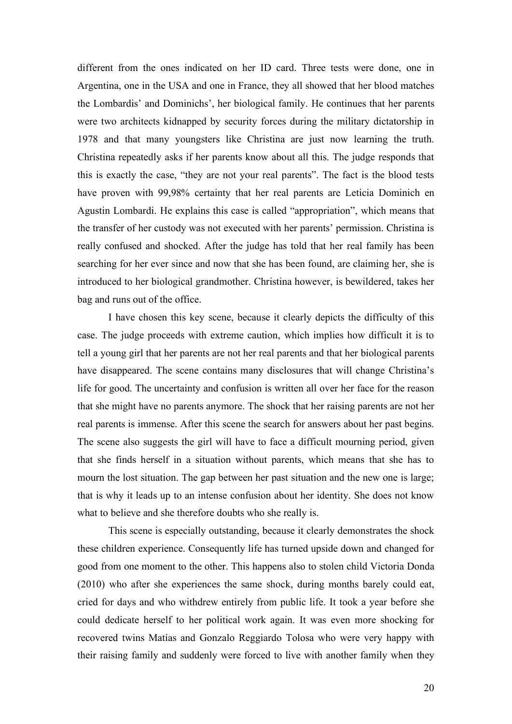different from the ones indicated on her ID card. Three tests were done, one in Argentina, one in the USA and one in France, they all showed that her blood matches the Lombardis' and Dominichs', her biological family. He continues that her parents were two architects kidnapped by security forces during the military dictatorship in 1978 and that many youngsters like Christina are just now learning the truth. Christina repeatedly asks if her parents know about all this. The judge responds that this is exactly the case, "they are not your real parents". The fact is the blood tests have proven with 99,98% certainty that her real parents are Leticia Dominich en Agustin Lombardi. He explains this case is called "appropriation", which means that the transfer of her custody was not executed with her parents' permission. Christina is really confused and shocked. After the judge has told that her real family has been searching for her ever since and now that she has been found, are claiming her, she is introduced to her biological grandmother. Christina however, is bewildered, takes her bag and runs out of the office.

I have chosen this key scene, because it clearly depicts the difficulty of this case. The judge proceeds with extreme caution, which implies how difficult it is to tell a young girl that her parents are not her real parents and that her biological parents have disappeared. The scene contains many disclosures that will change Christina's life for good. The uncertainty and confusion is written all over her face for the reason that she might have no parents anymore. The shock that her raising parents are not her real parents is immense. After this scene the search for answers about her past begins. The scene also suggests the girl will have to face a difficult mourning period, given that she finds herself in a situation without parents, which means that she has to mourn the lost situation. The gap between her past situation and the new one is large; that is why it leads up to an intense confusion about her identity. She does not know what to believe and she therefore doubts who she really is.

This scene is especially outstanding, because it clearly demonstrates the shock these children experience. Consequently life has turned upside down and changed for good from one moment to the other. This happens also to stolen child Victoria Donda (2010) who after she experiences the same shock, during months barely could eat, cried for days and who withdrew entirely from public life. It took a year before she could dedicate herself to her political work again. It was even more shocking for recovered twins Matías and Gonzalo Reggiardo Tolosa who were very happy with their raising family and suddenly were forced to live with another family when they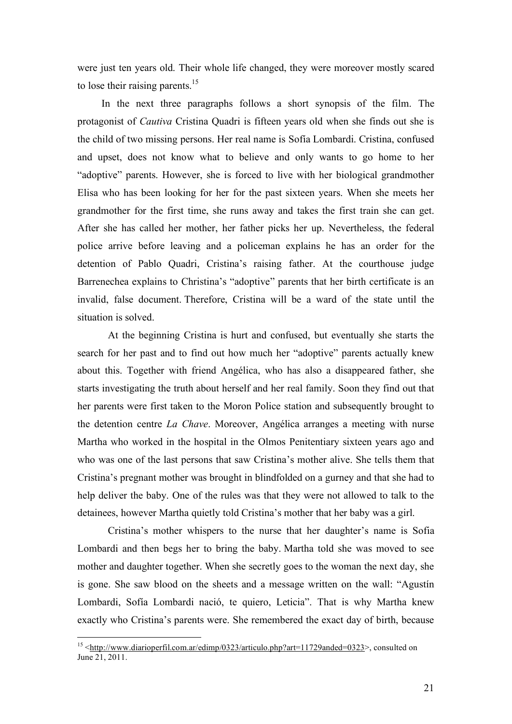were just ten years old. Their whole life changed, they were moreover mostly scared to lose their raising parents.<sup>15</sup>

In the next three paragraphs follows a short synopsis of the film. The protagonist of *Cautiva* Cristina Quadri is fifteen years old when she finds out she is the child of two missing persons. Her real name is Sofía Lombardi. Cristina, confused and upset, does not know what to believe and only wants to go home to her "adoptive" parents. However, she is forced to live with her biological grandmother Elisa who has been looking for her for the past sixteen years. When she meets her grandmother for the first time, she runs away and takes the first train she can get. After she has called her mother, her father picks her up. Nevertheless, the federal police arrive before leaving and a policeman explains he has an order for the detention of Pablo Quadri, Cristina's raising father. At the courthouse judge Barrenechea explains to Christina's "adoptive" parents that her birth certificate is an invalid, false document. Therefore, Cristina will be a ward of the state until the situation is solved.

At the beginning Cristina is hurt and confused, but eventually she starts the search for her past and to find out how much her "adoptive" parents actually knew about this. Together with friend Angélica, who has also a disappeared father, she starts investigating the truth about herself and her real family. Soon they find out that her parents were first taken to the Moron Police station and subsequently brought to the detention centre *La Chave*. Moreover, Angélica arranges a meeting with nurse Martha who worked in the hospital in the Olmos Penitentiary sixteen years ago and who was one of the last persons that saw Cristina's mother alive. She tells them that Cristina's pregnant mother was brought in blindfolded on a gurney and that she had to help deliver the baby. One of the rules was that they were not allowed to talk to the detainees, however Martha quietly told Cristina's mother that her baby was a girl.

Cristina's mother whispers to the nurse that her daughter's name is Sofia Lombardi and then begs her to bring the baby. Martha told she was moved to see mother and daughter together. When she secretly goes to the woman the next day, she is gone. She saw blood on the sheets and a message written on the wall: "Agustín Lombardi, Sofía Lombardi nació, te quiero, Leticia". That is why Martha knew exactly who Cristina's parents were. She remembered the exact day of birth, because

<sup>&</sup>lt;sup>15</sup> <http://www.diarioperfil.com.ar/edimp/0323/articulo.php?art=11729anded=0323>, consulted on June 21, 2011.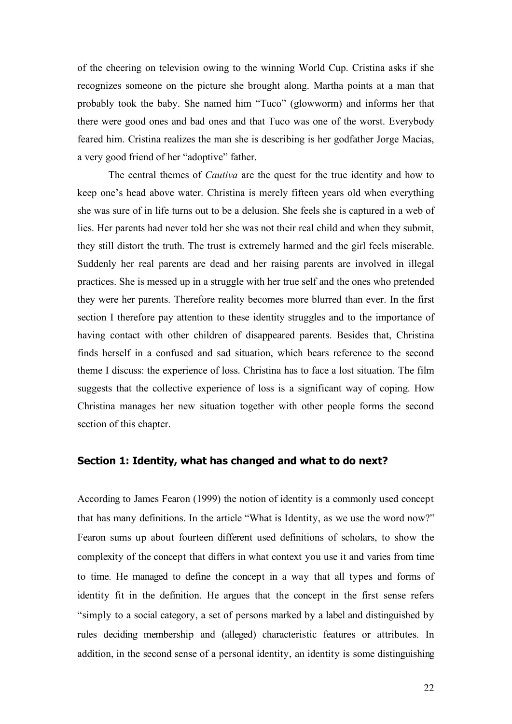of the cheering on television owing to the winning World Cup. Cristina asks if she recognizes someone on the picture she brought along. Martha points at a man that probably took the baby. She named him "Tuco" (glowworm) and informs her that there were good ones and bad ones and that Tuco was one of the worst. Everybody feared him. Cristina realizes the man she is describing is her godfather Jorge Macias, a very good friend of her "adoptive" father.

The central themes of *Cautiva* are the quest for the true identity and how to keep one's head above water. Christina is merely fifteen years old when everything she was sure of in life turns out to be a delusion. She feels she is captured in a web of lies. Her parents had never told her she was not their real child and when they submit, they still distort the truth. The trust is extremely harmed and the girl feels miserable. Suddenly her real parents are dead and her raising parents are involved in illegal practices. She is messed up in a struggle with her true self and the ones who pretended they were her parents. Therefore reality becomes more blurred than ever. In the first section I therefore pay attention to these identity struggles and to the importance of having contact with other children of disappeared parents. Besides that, Christina finds herself in a confused and sad situation, which bears reference to the second theme I discuss: the experience of loss. Christina has to face a lost situation. The film suggests that the collective experience of loss is a significant way of coping. How Christina manages her new situation together with other people forms the second section of this chapter.

#### **Section 1: Identity, what has changed and what to do next?**

According to James Fearon (1999) the notion of identity is a commonly used concept that has many definitions. In the article "What is Identity, as we use the word now?" Fearon sums up about fourteen different used definitions of scholars, to show the complexity of the concept that differs in what context you use it and varies from time to time. He managed to define the concept in a way that all types and forms of identity fit in the definition. He argues that the concept in the first sense refers "simply to a social category, a set of persons marked by a label and distinguished by rules deciding membership and (alleged) characteristic features or attributes. In addition, in the second sense of a personal identity, an identity is some distinguishing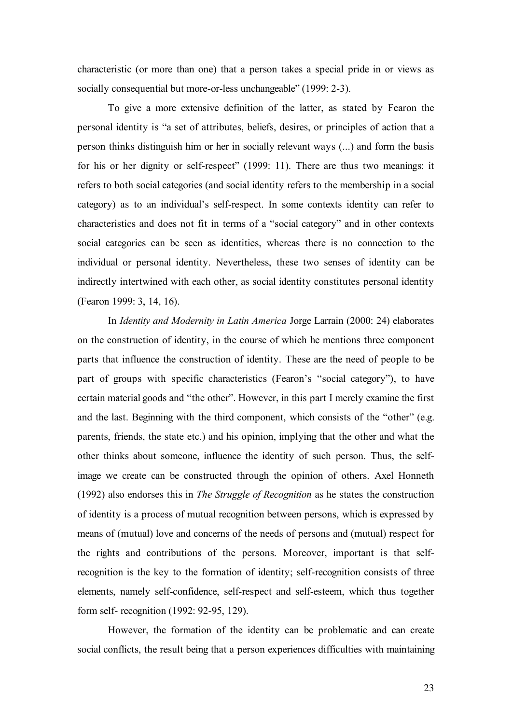characteristic (or more than one) that a person takes a special pride in or views as socially consequential but more-or-less unchangeable" (1999: 2-3).

To give a more extensive definition of the latter, as stated by Fearon the personal identity is "a set of attributes, beliefs, desires, or principles of action that a person thinks distinguish him or her in socially relevant ways (...) and form the basis for his or her dignity or self-respect" (1999: 11). There are thus two meanings: it refers to both social categories (and social identity refers to the membership in a social category) as to an individual's self-respect. In some contexts identity can refer to characteristics and does not fit in terms of a "social category" and in other contexts social categories can be seen as identities, whereas there is no connection to the individual or personal identity. Nevertheless, these two senses of identity can be indirectly intertwined with each other, as social identity constitutes personal identity (Fearon 1999: 3, 14, 16).

In *Identity and Modernity in Latin America* Jorge Larrain (2000: 24) elaborates on the construction of identity, in the course of which he mentions three component parts that influence the construction of identity. These are the need of people to be part of groups with specific characteristics (Fearon's "social category"), to have certain material goods and "the other". However, in this part I merely examine the first and the last. Beginning with the third component, which consists of the "other" (e.g. parents, friends, the state etc.) and his opinion, implying that the other and what the other thinks about someone, influence the identity of such person. Thus, the selfimage we create can be constructed through the opinion of others. Axel Honneth (1992) also endorses this in *The Struggle of Recognition* as he states the construction of identity is a process of mutual recognition between persons, which is expressed by means of (mutual) love and concerns of the needs of persons and (mutual) respect for the rights and contributions of the persons. Moreover, important is that selfrecognition is the key to the formation of identity; self-recognition consists of three elements, namely self-confidence, self-respect and self-esteem, which thus together form self- recognition (1992: 92-95, 129).

However, the formation of the identity can be problematic and can create social conflicts, the result being that a person experiences difficulties with maintaining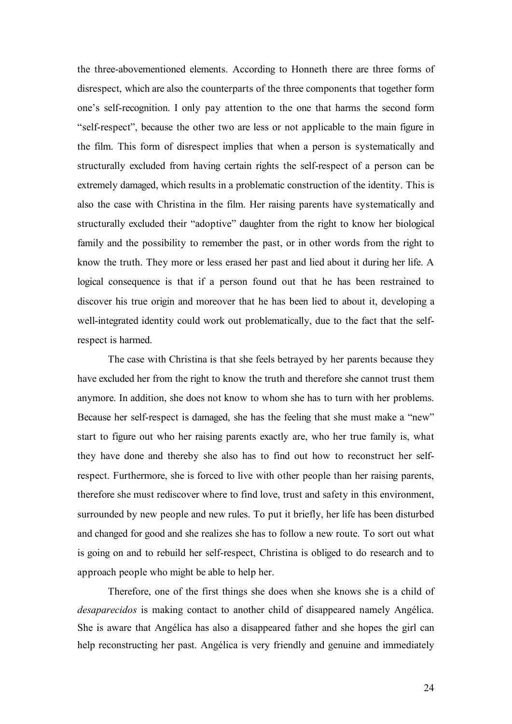the three-abovementioned elements. According to Honneth there are three forms of disrespect, which are also the counterparts of the three components that together form one's self-recognition. I only pay attention to the one that harms the second form "self-respect", because the other two are less or not applicable to the main figure in the film. This form of disrespect implies that when a person is systematically and structurally excluded from having certain rights the self-respect of a person can be extremely damaged, which results in a problematic construction of the identity. This is also the case with Christina in the film. Her raising parents have systematically and structurally excluded their "adoptive" daughter from the right to know her biological family and the possibility to remember the past, or in other words from the right to know the truth. They more or less erased her past and lied about it during her life. A logical consequence is that if a person found out that he has been restrained to discover his true origin and moreover that he has been lied to about it, developing a well-integrated identity could work out problematically, due to the fact that the selfrespect is harmed.

The case with Christina is that she feels betrayed by her parents because they have excluded her from the right to know the truth and therefore she cannot trust them anymore. In addition, she does not know to whom she has to turn with her problems. Because her self-respect is damaged, she has the feeling that she must make a "new" start to figure out who her raising parents exactly are, who her true family is, what they have done and thereby she also has to find out how to reconstruct her selfrespect. Furthermore, she is forced to live with other people than her raising parents, therefore she must rediscover where to find love, trust and safety in this environment, surrounded by new people and new rules. To put it briefly, her life has been disturbed and changed for good and she realizes she has to follow a new route. To sort out what is going on and to rebuild her self-respect, Christina is obliged to do research and to approach people who might be able to help her.

Therefore, one of the first things she does when she knows she is a child of *desaparecidos* is making contact to another child of disappeared namely Angélica. She is aware that Angélica has also a disappeared father and she hopes the girl can help reconstructing her past. Angélica is very friendly and genuine and immediately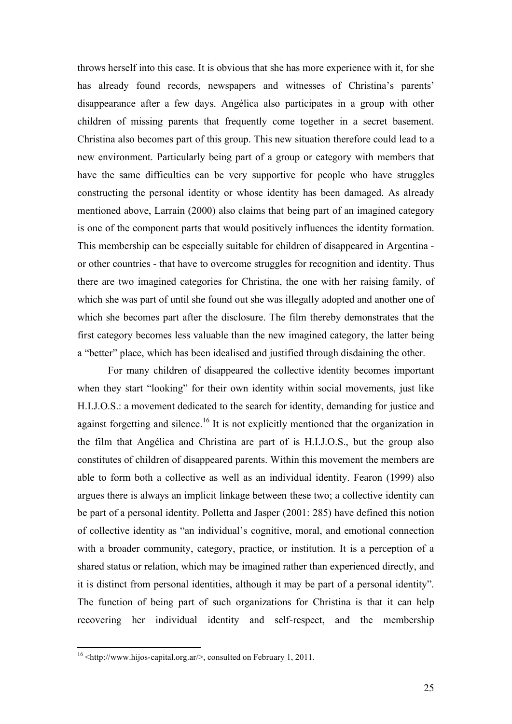throws herself into this case. It is obvious that she has more experience with it, for she has already found records, newspapers and witnesses of Christina's parents' disappearance after a few days. Angélica also participates in a group with other children of missing parents that frequently come together in a secret basement. Christina also becomes part of this group. This new situation therefore could lead to a new environment. Particularly being part of a group or category with members that have the same difficulties can be very supportive for people who have struggles constructing the personal identity or whose identity has been damaged. As already mentioned above, Larrain (2000) also claims that being part of an imagined category is one of the component parts that would positively influences the identity formation. This membership can be especially suitable for children of disappeared in Argentina or other countries - that have to overcome struggles for recognition and identity. Thus there are two imagined categories for Christina, the one with her raising family, of which she was part of until she found out she was illegally adopted and another one of which she becomes part after the disclosure. The film thereby demonstrates that the first category becomes less valuable than the new imagined category, the latter being a "better" place, which has been idealised and justified through disdaining the other.

For many children of disappeared the collective identity becomes important when they start "looking" for their own identity within social movements, just like H.I.J.O.S.: a movement dedicated to the search for identity, demanding for justice and against forgetting and silence.<sup>16</sup> It is not explicitly mentioned that the organization in the film that Angélica and Christina are part of is H.I.J.O.S., but the group also constitutes of children of disappeared parents. Within this movement the members are able to form both a collective as well as an individual identity. Fearon (1999) also argues there is always an implicit linkage between these two; a collective identity can be part of a personal identity. Polletta and Jasper (2001: 285) have defined this notion of collective identity as "an individual's cognitive, moral, and emotional connection with a broader community, category, practice, or institution. It is a perception of a shared status or relation, which may be imagined rather than experienced directly, and it is distinct from personal identities, although it may be part of a personal identity". The function of being part of such organizations for Christina is that it can help recovering her individual identity and self-respect, and the membership

<sup>&</sup>lt;sup>16</sup>  $\text{http://www.hijos-capital.org.ar/>},$  consulted on February 1, 2011.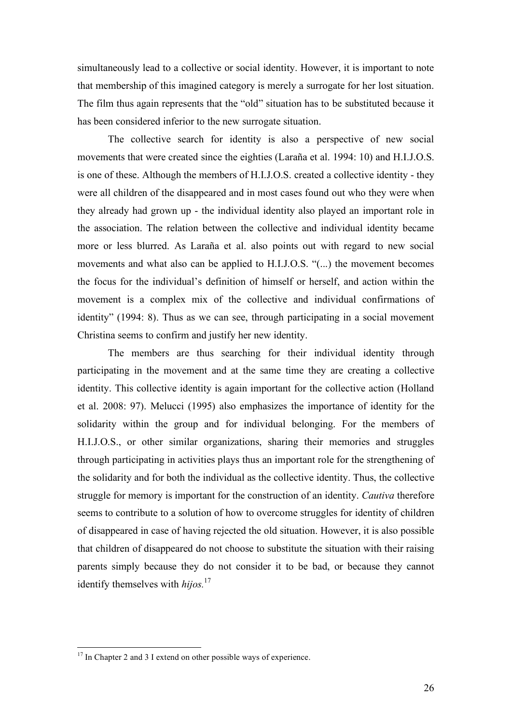simultaneously lead to a collective or social identity. However, it is important to note that membership of this imagined category is merely a surrogate for her lost situation. The film thus again represents that the "old" situation has to be substituted because it has been considered inferior to the new surrogate situation.

The collective search for identity is also a perspective of new social movements that were created since the eighties (Laraña et al. 1994: 10) and H.I.J.O.S. is one of these. Although the members of H.I.J.O.S. created a collective identity - they were all children of the disappeared and in most cases found out who they were when they already had grown up - the individual identity also played an important role in the association. The relation between the collective and individual identity became more or less blurred. As Laraña et al. also points out with regard to new social movements and what also can be applied to H.I.J.O.S. "(...) the movement becomes the focus for the individual's definition of himself or herself, and action within the movement is a complex mix of the collective and individual confirmations of identity" (1994: 8). Thus as we can see, through participating in a social movement Christina seems to confirm and justify her new identity.

The members are thus searching for their individual identity through participating in the movement and at the same time they are creating a collective identity. This collective identity is again important for the collective action (Holland et al. 2008: 97). Melucci (1995) also emphasizes the importance of identity for the solidarity within the group and for individual belonging. For the members of H.I.J.O.S., or other similar organizations, sharing their memories and struggles through participating in activities plays thus an important role for the strengthening of the solidarity and for both the individual as the collective identity. Thus, the collective struggle for memory is important for the construction of an identity. *Cautiva* therefore seems to contribute to a solution of how to overcome struggles for identity of children of disappeared in case of having rejected the old situation. However, it is also possible that children of disappeared do not choose to substitute the situation with their raising parents simply because they do not consider it to be bad, or because they cannot identify themselves with *hijos.*<sup>17</sup>

 $17$  In Chapter 2 and 3 I extend on other possible ways of experience.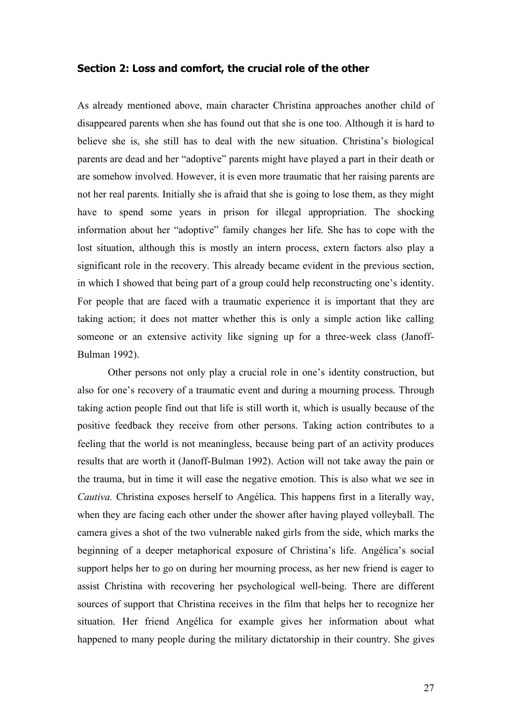#### **Section 2: Loss and comfort, the crucial role of the other**

As already mentioned above, main character Christina approaches another child of disappeared parents when she has found out that she is one too. Although it is hard to believe she is, she still has to deal with the new situation. Christina's biological parents are dead and her "adoptive" parents might have played a part in their death or are somehow involved. However, it is even more traumatic that her raising parents are not her real parents. Initially she is afraid that she is going to lose them, as they might have to spend some years in prison for illegal appropriation. The shocking information about her "adoptive" family changes her life. She has to cope with the lost situation, although this is mostly an intern process, extern factors also play a significant role in the recovery. This already became evident in the previous section, in which I showed that being part of a group could help reconstructing one's identity. For people that are faced with a traumatic experience it is important that they are taking action; it does not matter whether this is only a simple action like calling someone or an extensive activity like signing up for a three-week class (Janoff-Bulman 1992).

Other persons not only play a crucial role in one's identity construction, but also for one's recovery of a traumatic event and during a mourning process. Through taking action people find out that life is still worth it, which is usually because of the positive feedback they receive from other persons. Taking action contributes to a feeling that the world is not meaningless, because being part of an activity produces results that are worth it (Janoff-Bulman 1992). Action will not take away the pain or the trauma, but in time it will ease the negative emotion. This is also what we see in *Cautiva.* Christina exposes herself to Angélica. This happens first in a literally way, when they are facing each other under the shower after having played volleyball. The camera gives a shot of the two vulnerable naked girls from the side, which marks the beginning of a deeper metaphorical exposure of Christina's life. Angélica's social support helps her to go on during her mourning process, as her new friend is eager to assist Christina with recovering her psychological well-being. There are different sources of support that Christina receives in the film that helps her to recognize her situation. Her friend Angélica for example gives her information about what happened to many people during the military dictatorship in their country. She gives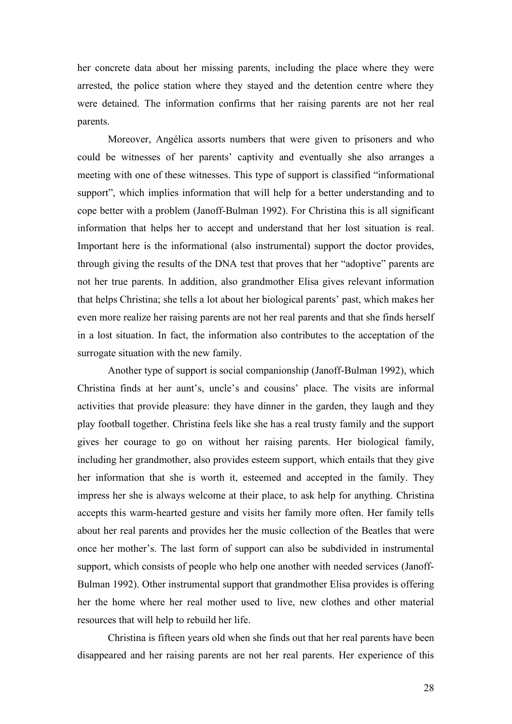her concrete data about her missing parents, including the place where they were arrested, the police station where they stayed and the detention centre where they were detained. The information confirms that her raising parents are not her real parents.

Moreover, Angélica assorts numbers that were given to prisoners and who could be witnesses of her parents' captivity and eventually she also arranges a meeting with one of these witnesses. This type of support is classified "informational support", which implies information that will help for a better understanding and to cope better with a problem (Janoff-Bulman 1992). For Christina this is all significant information that helps her to accept and understand that her lost situation is real. Important here is the informational (also instrumental) support the doctor provides, through giving the results of the DNA test that proves that her "adoptive" parents are not her true parents. In addition, also grandmother Elisa gives relevant information that helps Christina; she tells a lot about her biological parents' past, which makes her even more realize her raising parents are not her real parents and that she finds herself in a lost situation. In fact, the information also contributes to the acceptation of the surrogate situation with the new family.

Another type of support is social companionship (Janoff-Bulman 1992), which Christina finds at her aunt's, uncle's and cousins' place. The visits are informal activities that provide pleasure: they have dinner in the garden, they laugh and they play football together. Christina feels like she has a real trusty family and the support gives her courage to go on without her raising parents. Her biological family, including her grandmother, also provides esteem support, which entails that they give her information that she is worth it, esteemed and accepted in the family. They impress her she is always welcome at their place, to ask help for anything. Christina accepts this warm-hearted gesture and visits her family more often. Her family tells about her real parents and provides her the music collection of the Beatles that were once her mother's. The last form of support can also be subdivided in instrumental support, which consists of people who help one another with needed services (Janoff-Bulman 1992). Other instrumental support that grandmother Elisa provides is offering her the home where her real mother used to live, new clothes and other material resources that will help to rebuild her life.

Christina is fifteen years old when she finds out that her real parents have been disappeared and her raising parents are not her real parents. Her experience of this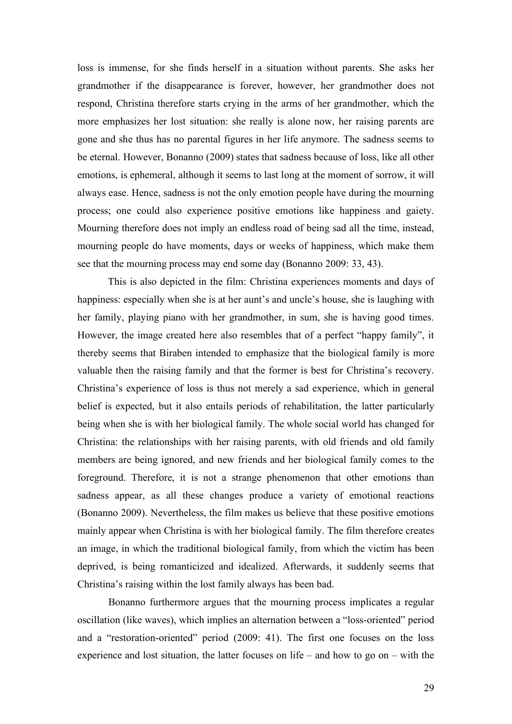loss is immense, for she finds herself in a situation without parents. She asks her grandmother if the disappearance is forever, however, her grandmother does not respond, Christina therefore starts crying in the arms of her grandmother, which the more emphasizes her lost situation: she really is alone now, her raising parents are gone and she thus has no parental figures in her life anymore. The sadness seems to be eternal. However, Bonanno (2009) states that sadness because of loss, like all other emotions, is ephemeral, although it seems to last long at the moment of sorrow, it will always ease. Hence, sadness is not the only emotion people have during the mourning process; one could also experience positive emotions like happiness and gaiety. Mourning therefore does not imply an endless road of being sad all the time, instead, mourning people do have moments, days or weeks of happiness, which make them see that the mourning process may end some day (Bonanno 2009: 33, 43).

This is also depicted in the film: Christina experiences moments and days of happiness: especially when she is at her aunt's and uncle's house, she is laughing with her family, playing piano with her grandmother, in sum, she is having good times. However, the image created here also resembles that of a perfect "happy family", it thereby seems that Biraben intended to emphasize that the biological family is more valuable then the raising family and that the former is best for Christina's recovery. Christina's experience of loss is thus not merely a sad experience, which in general belief is expected, but it also entails periods of rehabilitation, the latter particularly being when she is with her biological family. The whole social world has changed for Christina: the relationships with her raising parents, with old friends and old family members are being ignored, and new friends and her biological family comes to the foreground. Therefore, it is not a strange phenomenon that other emotions than sadness appear, as all these changes produce a variety of emotional reactions (Bonanno 2009). Nevertheless, the film makes us believe that these positive emotions mainly appear when Christina is with her biological family. The film therefore creates an image, in which the traditional biological family, from which the victim has been deprived, is being romanticized and idealized. Afterwards, it suddenly seems that Christina's raising within the lost family always has been bad.

Bonanno furthermore argues that the mourning process implicates a regular oscillation (like waves), which implies an alternation between a "loss-oriented" period and a "restoration-oriented" period (2009: 41). The first one focuses on the loss experience and lost situation, the latter focuses on life – and how to go on – with the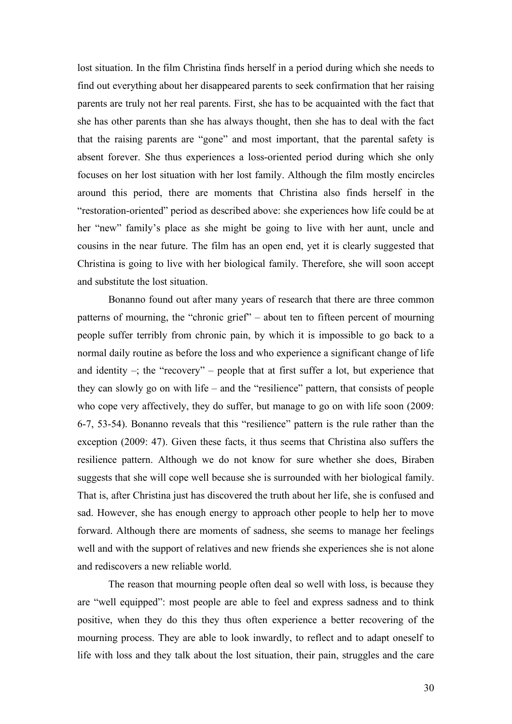lost situation. In the film Christina finds herself in a period during which she needs to find out everything about her disappeared parents to seek confirmation that her raising parents are truly not her real parents. First, she has to be acquainted with the fact that she has other parents than she has always thought, then she has to deal with the fact that the raising parents are "gone" and most important, that the parental safety is absent forever. She thus experiences a loss-oriented period during which she only focuses on her lost situation with her lost family. Although the film mostly encircles around this period, there are moments that Christina also finds herself in the "restoration-oriented" period as described above: she experiences how life could be at her "new" family's place as she might be going to live with her aunt, uncle and cousins in the near future. The film has an open end, yet it is clearly suggested that Christina is going to live with her biological family. Therefore, she will soon accept and substitute the lost situation.

Bonanno found out after many years of research that there are three common patterns of mourning, the "chronic grief" – about ten to fifteen percent of mourning people suffer terribly from chronic pain, by which it is impossible to go back to a normal daily routine as before the loss and who experience a significant change of life and identity  $-$ ; the "recovery" – people that at first suffer a lot, but experience that they can slowly go on with life – and the "resilience" pattern, that consists of people who cope very affectively, they do suffer, but manage to go on with life soon (2009: 6-7, 53-54). Bonanno reveals that this "resilience" pattern is the rule rather than the exception (2009: 47). Given these facts, it thus seems that Christina also suffers the resilience pattern. Although we do not know for sure whether she does, Biraben suggests that she will cope well because she is surrounded with her biological family. That is, after Christina just has discovered the truth about her life, she is confused and sad. However, she has enough energy to approach other people to help her to move forward. Although there are moments of sadness, she seems to manage her feelings well and with the support of relatives and new friends she experiences she is not alone and rediscovers a new reliable world.

The reason that mourning people often deal so well with loss, is because they are "well equipped": most people are able to feel and express sadness and to think positive, when they do this they thus often experience a better recovering of the mourning process. They are able to look inwardly, to reflect and to adapt oneself to life with loss and they talk about the lost situation, their pain, struggles and the care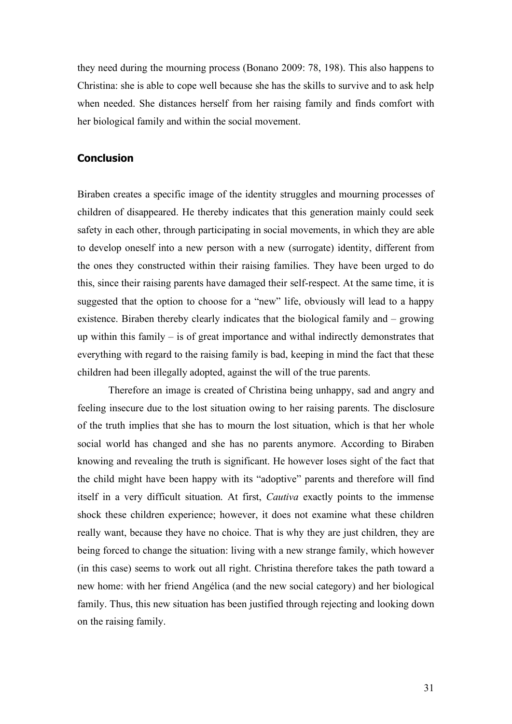they need during the mourning process (Bonano 2009: 78, 198). This also happens to Christina: she is able to cope well because she has the skills to survive and to ask help when needed. She distances herself from her raising family and finds comfort with her biological family and within the social movement.

#### **Conclusion**

Biraben creates a specific image of the identity struggles and mourning processes of children of disappeared. He thereby indicates that this generation mainly could seek safety in each other, through participating in social movements, in which they are able to develop oneself into a new person with a new (surrogate) identity, different from the ones they constructed within their raising families. They have been urged to do this, since their raising parents have damaged their self-respect. At the same time, it is suggested that the option to choose for a "new" life, obviously will lead to a happy existence. Biraben thereby clearly indicates that the biological family and – growing up within this family – is of great importance and withal indirectly demonstrates that everything with regard to the raising family is bad, keeping in mind the fact that these children had been illegally adopted, against the will of the true parents.

Therefore an image is created of Christina being unhappy, sad and angry and feeling insecure due to the lost situation owing to her raising parents. The disclosure of the truth implies that she has to mourn the lost situation, which is that her whole social world has changed and she has no parents anymore. According to Biraben knowing and revealing the truth is significant. He however loses sight of the fact that the child might have been happy with its "adoptive" parents and therefore will find itself in a very difficult situation. At first, *Cautiva* exactly points to the immense shock these children experience; however, it does not examine what these children really want, because they have no choice. That is why they are just children, they are being forced to change the situation: living with a new strange family, which however (in this case) seems to work out all right. Christina therefore takes the path toward a new home: with her friend Angélica (and the new social category) and her biological family. Thus, this new situation has been justified through rejecting and looking down on the raising family.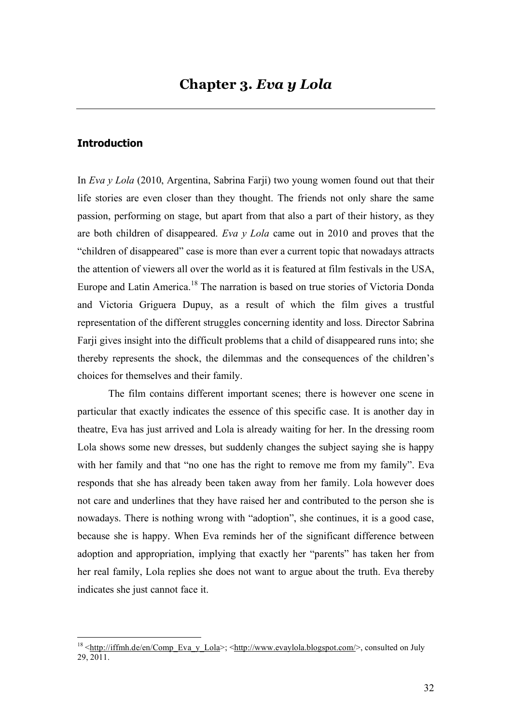#### **Introduction**

In *Eva y Lola* (2010, Argentina, Sabrina Farji) two young women found out that their life stories are even closer than they thought. The friends not only share the same passion, performing on stage, but apart from that also a part of their history, as they are both children of disappeared. *Eva y Lola* came out in 2010 and proves that the "children of disappeared" case is more than ever a current topic that nowadays attracts the attention of viewers all over the world as it is featured at film festivals in the USA, Europe and Latin America.<sup>18</sup> The narration is based on true stories of Victoria Donda and Victoria Griguera Dupuy, as a result of which the film gives a trustful representation of the different struggles concerning identity and loss. Director Sabrina Farji gives insight into the difficult problems that a child of disappeared runs into; she thereby represents the shock, the dilemmas and the consequences of the children's choices for themselves and their family.

The film contains different important scenes; there is however one scene in particular that exactly indicates the essence of this specific case. It is another day in theatre, Eva has just arrived and Lola is already waiting for her. In the dressing room Lola shows some new dresses, but suddenly changes the subject saying she is happy with her family and that "no one has the right to remove me from my family". Eva responds that she has already been taken away from her family. Lola however does not care and underlines that they have raised her and contributed to the person she is nowadays. There is nothing wrong with "adoption", she continues, it is a good case, because she is happy. When Eva reminds her of the significant difference between adoption and appropriation, implying that exactly her "parents" has taken her from her real family, Lola replies she does not want to argue about the truth. Eva thereby indicates she just cannot face it.

 $18$  <http://iffmh.de/en/Comp\_Eva\_y\_Lola>; <http://www.evaylola.blogspot.com/>, consulted on July  $29\overline{2011}$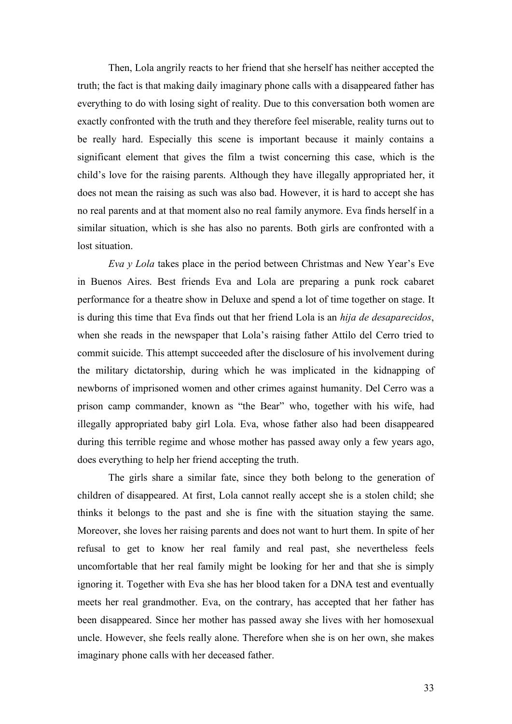Then, Lola angrily reacts to her friend that she herself has neither accepted the truth; the fact is that making daily imaginary phone calls with a disappeared father has everything to do with losing sight of reality. Due to this conversation both women are exactly confronted with the truth and they therefore feel miserable, reality turns out to be really hard. Especially this scene is important because it mainly contains a significant element that gives the film a twist concerning this case, which is the child's love for the raising parents. Although they have illegally appropriated her, it does not mean the raising as such was also bad. However, it is hard to accept she has no real parents and at that moment also no real family anymore. Eva finds herself in a similar situation, which is she has also no parents. Both girls are confronted with a lost situation.

*Eva y Lola* takes place in the period between Christmas and New Year's Eve in Buenos Aires. Best friends Eva and Lola are preparing a punk rock cabaret performance for a theatre show in Deluxe and spend a lot of time together on stage. It is during this time that Eva finds out that her friend Lola is an *hija de desaparecidos*, when she reads in the newspaper that Lola's raising father Attilo del Cerro tried to commit suicide. This attempt succeeded after the disclosure of his involvement during the military dictatorship, during which he was implicated in the kidnapping of newborns of imprisoned women and other crimes against humanity. Del Cerro was a prison camp commander, known as "the Bear" who, together with his wife, had illegally appropriated baby girl Lola. Eva, whose father also had been disappeared during this terrible regime and whose mother has passed away only a few years ago, does everything to help her friend accepting the truth.

The girls share a similar fate, since they both belong to the generation of children of disappeared. At first, Lola cannot really accept she is a stolen child; she thinks it belongs to the past and she is fine with the situation staying the same. Moreover, she loves her raising parents and does not want to hurt them. In spite of her refusal to get to know her real family and real past, she nevertheless feels uncomfortable that her real family might be looking for her and that she is simply ignoring it. Together with Eva she has her blood taken for a DNA test and eventually meets her real grandmother. Eva, on the contrary, has accepted that her father has been disappeared. Since her mother has passed away she lives with her homosexual uncle. However, she feels really alone. Therefore when she is on her own, she makes imaginary phone calls with her deceased father.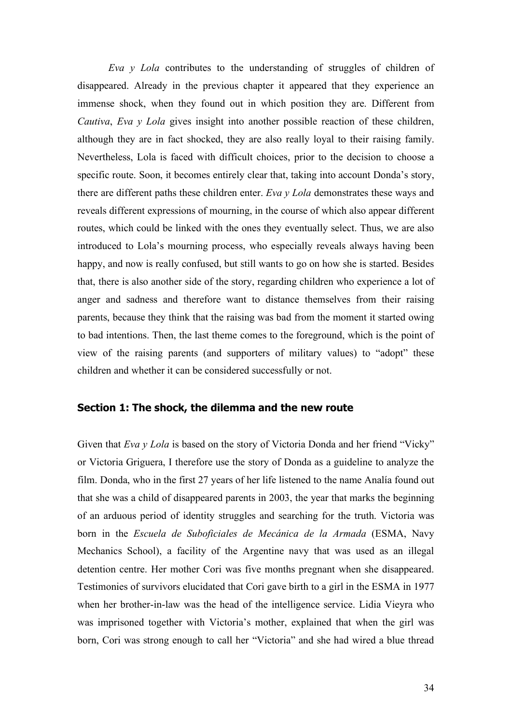*Eva y Lola* contributes to the understanding of struggles of children of disappeared. Already in the previous chapter it appeared that they experience an immense shock, when they found out in which position they are. Different from *Cautiva*, *Eva y Lola* gives insight into another possible reaction of these children, although they are in fact shocked, they are also really loyal to their raising family. Nevertheless, Lola is faced with difficult choices, prior to the decision to choose a specific route. Soon, it becomes entirely clear that, taking into account Donda's story, there are different paths these children enter. *Eva y Lola* demonstrates these ways and reveals different expressions of mourning, in the course of which also appear different routes, which could be linked with the ones they eventually select. Thus, we are also introduced to Lola's mourning process, who especially reveals always having been happy, and now is really confused, but still wants to go on how she is started. Besides that, there is also another side of the story, regarding children who experience a lot of anger and sadness and therefore want to distance themselves from their raising parents, because they think that the raising was bad from the moment it started owing to bad intentions. Then, the last theme comes to the foreground, which is the point of view of the raising parents (and supporters of military values) to "adopt" these children and whether it can be considered successfully or not.

#### **Section 1: The shock, the dilemma and the new route**

Given that *Eva y Lola* is based on the story of Victoria Donda and her friend "Vicky" or Victoria Griguera, I therefore use the story of Donda as a guideline to analyze the film. Donda, who in the first 27 years of her life listened to the name Analía found out that she was a child of disappeared parents in 2003, the year that marks the beginning of an arduous period of identity struggles and searching for the truth. Victoria was born in the *Escuela de Suboficiales de Mecánica de la Armada* (ESMA, Navy Mechanics School), a facility of the Argentine navy that was used as an illegal detention centre. Her mother Cori was five months pregnant when she disappeared. Testimonies of survivors elucidated that Cori gave birth to a girl in the ESMA in 1977 when her brother-in-law was the head of the intelligence service. Lidia Vieyra who was imprisoned together with Victoria's mother, explained that when the girl was born, Cori was strong enough to call her "Victoria" and she had wired a blue thread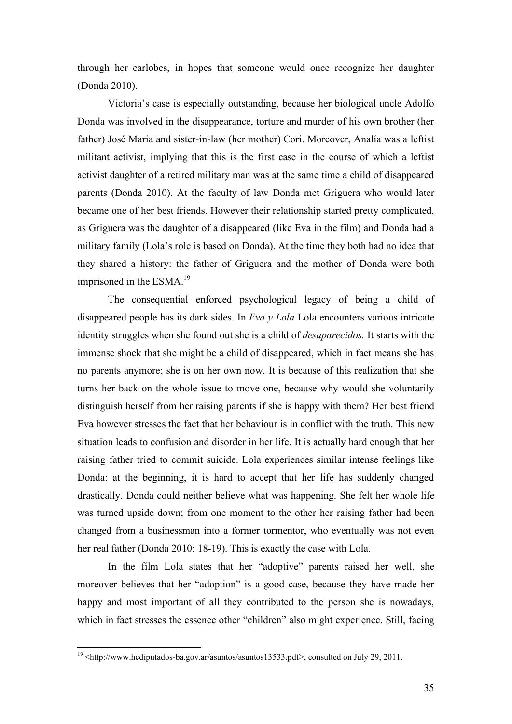through her earlobes, in hopes that someone would once recognize her daughter (Donda 2010).

Victoria's case is especially outstanding, because her biological uncle Adolfo Donda was involved in the disappearance, torture and murder of his own brother (her father) José María and sister-in-law (her mother) Cori. Moreover, Analía was a leftist militant activist, implying that this is the first case in the course of which a leftist activist daughter of a retired military man was at the same time a child of disappeared parents (Donda 2010). At the faculty of law Donda met Griguera who would later became one of her best friends. However their relationship started pretty complicated, as Griguera was the daughter of a disappeared (like Eva in the film) and Donda had a military family (Lola's role is based on Donda). At the time they both had no idea that they shared a history: the father of Griguera and the mother of Donda were both imprisoned in the  $ESMA<sup>19</sup>$ 

The consequential enforced psychological legacy of being a child of disappeared people has its dark sides. In *Eva y Lola* Lola encounters various intricate identity struggles when she found out she is a child of *desaparecidos.* It starts with the immense shock that she might be a child of disappeared, which in fact means she has no parents anymore; she is on her own now. It is because of this realization that she turns her back on the whole issue to move one, because why would she voluntarily distinguish herself from her raising parents if she is happy with them? Her best friend Eva however stresses the fact that her behaviour is in conflict with the truth. This new situation leads to confusion and disorder in her life. It is actually hard enough that her raising father tried to commit suicide. Lola experiences similar intense feelings like Donda: at the beginning, it is hard to accept that her life has suddenly changed drastically. Donda could neither believe what was happening. She felt her whole life was turned upside down; from one moment to the other her raising father had been changed from a businessman into a former tormentor, who eventually was not even her real father (Donda 2010: 18-19). This is exactly the case with Lola.

In the film Lola states that her "adoptive" parents raised her well, she moreover believes that her "adoption" is a good case, because they have made her happy and most important of all they contributed to the person she is nowadays, which in fact stresses the essence other "children" also might experience. Still, facing

<sup>&</sup>lt;sup>19</sup> <http://www.hcdiputados-ba.gov.ar/asuntos/asuntos13533.pdf>, consulted on July 29, 2011.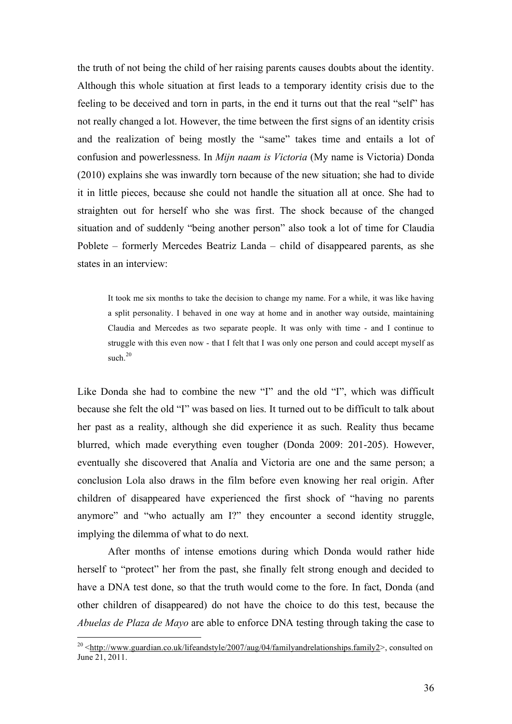the truth of not being the child of her raising parents causes doubts about the identity. Although this whole situation at first leads to a temporary identity crisis due to the feeling to be deceived and torn in parts, in the end it turns out that the real "self" has not really changed a lot. However, the time between the first signs of an identity crisis and the realization of being mostly the "same" takes time and entails a lot of confusion and powerlessness. In *Mijn naam is Victoria* (My name is Victoria) Donda (2010) explains she was inwardly torn because of the new situation; she had to divide it in little pieces, because she could not handle the situation all at once. She had to straighten out for herself who she was first. The shock because of the changed situation and of suddenly "being another person" also took a lot of time for Claudia Poblete – formerly Mercedes Beatriz Landa – child of disappeared parents, as she states in an interview:

It took me six months to take the decision to change my name. For a while, it was like having a split personality. I behaved in one way at home and in another way outside, maintaining Claudia and Mercedes as two separate people. It was only with time - and I continue to struggle with this even now - that I felt that I was only one person and could accept myself as such 20

Like Donda she had to combine the new "I" and the old "I", which was difficult because she felt the old "I" was based on lies. It turned out to be difficult to talk about her past as a reality, although she did experience it as such. Reality thus became blurred, which made everything even tougher (Donda 2009: 201-205). However, eventually she discovered that Analía and Victoria are one and the same person; a conclusion Lola also draws in the film before even knowing her real origin. After children of disappeared have experienced the first shock of "having no parents anymore" and "who actually am I?" they encounter a second identity struggle, implying the dilemma of what to do next.

After months of intense emotions during which Donda would rather hide herself to "protect" her from the past, she finally felt strong enough and decided to have a DNA test done, so that the truth would come to the fore. In fact, Donda (and other children of disappeared) do not have the choice to do this test, because the *Abuelas de Plaza de Mayo* are able to enforce DNA testing through taking the case to

<sup>&</sup>lt;sup>20</sup> <http://www.guardian.co.uk/lifeandstyle/2007/aug/04/familyandrelationships.family2>, consulted on June 21, 2011.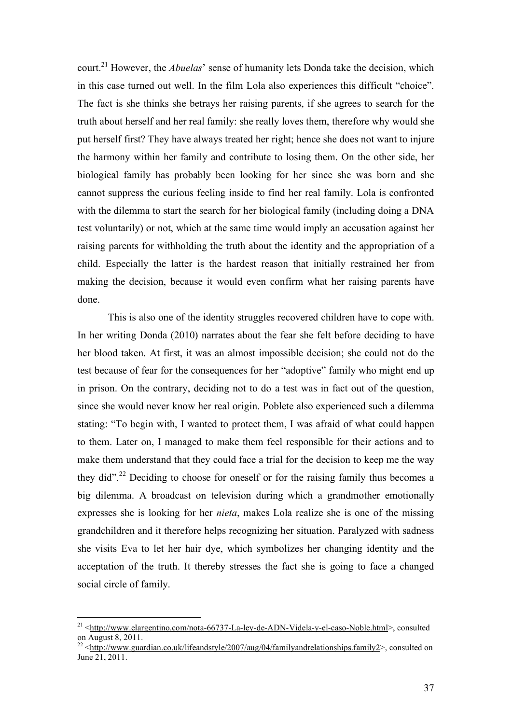court.21 However, the *Abuelas*' sense of humanity lets Donda take the decision, which in this case turned out well. In the film Lola also experiences this difficult "choice". The fact is she thinks she betrays her raising parents, if she agrees to search for the truth about herself and her real family: she really loves them, therefore why would she put herself first? They have always treated her right; hence she does not want to injure the harmony within her family and contribute to losing them. On the other side, her biological family has probably been looking for her since she was born and she cannot suppress the curious feeling inside to find her real family. Lola is confronted with the dilemma to start the search for her biological family (including doing a DNA test voluntarily) or not, which at the same time would imply an accusation against her raising parents for withholding the truth about the identity and the appropriation of a child. Especially the latter is the hardest reason that initially restrained her from making the decision, because it would even confirm what her raising parents have done.

This is also one of the identity struggles recovered children have to cope with. In her writing Donda (2010) narrates about the fear she felt before deciding to have her blood taken. At first, it was an almost impossible decision; she could not do the test because of fear for the consequences for her "adoptive" family who might end up in prison. On the contrary, deciding not to do a test was in fact out of the question, since she would never know her real origin. Poblete also experienced such a dilemma stating: "To begin with, I wanted to protect them, I was afraid of what could happen to them. Later on, I managed to make them feel responsible for their actions and to make them understand that they could face a trial for the decision to keep me the way they did".<sup>22</sup> Deciding to choose for oneself or for the raising family thus becomes a big dilemma. A broadcast on television during which a grandmother emotionally expresses she is looking for her *nieta*, makes Lola realize she is one of the missing grandchildren and it therefore helps recognizing her situation. Paralyzed with sadness she visits Eva to let her hair dye, which symbolizes her changing identity and the acceptation of the truth. It thereby stresses the fact she is going to face a changed social circle of family.

<sup>&</sup>lt;sup>21</sup> <http://www.elargentino.com/nota-66737-La-ley-de-ADN-Videla-y-el-caso-Noble.html>, consulted on August 8, 2011.

<sup>&</sup>lt;sup>22</sup> <http://www.guardian.co.uk/lifeandstyle/2007/aug/04/familyandrelationships.family2>, consulted on June 21, 2011.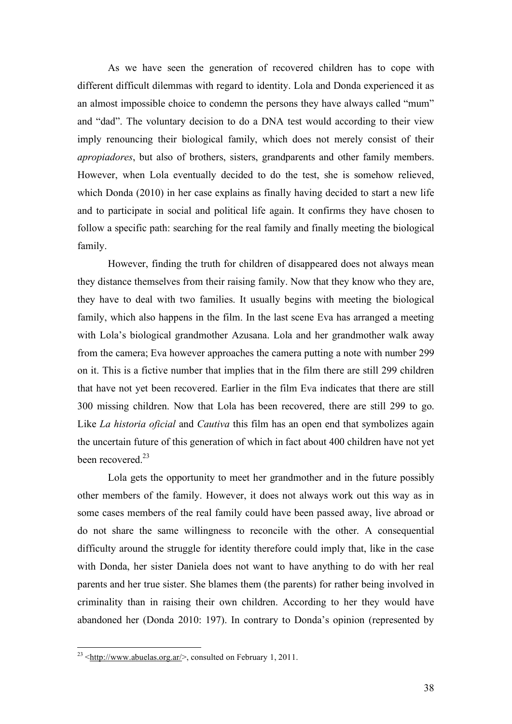As we have seen the generation of recovered children has to cope with different difficult dilemmas with regard to identity. Lola and Donda experienced it as an almost impossible choice to condemn the persons they have always called "mum" and "dad". The voluntary decision to do a DNA test would according to their view imply renouncing their biological family, which does not merely consist of their *apropiadores*, but also of brothers, sisters, grandparents and other family members. However, when Lola eventually decided to do the test, she is somehow relieved, which Donda (2010) in her case explains as finally having decided to start a new life and to participate in social and political life again. It confirms they have chosen to follow a specific path: searching for the real family and finally meeting the biological family.

However, finding the truth for children of disappeared does not always mean they distance themselves from their raising family. Now that they know who they are, they have to deal with two families. It usually begins with meeting the biological family, which also happens in the film. In the last scene Eva has arranged a meeting with Lola's biological grandmother Azusana. Lola and her grandmother walk away from the camera; Eva however approaches the camera putting a note with number 299 on it. This is a fictive number that implies that in the film there are still 299 children that have not yet been recovered. Earlier in the film Eva indicates that there are still 300 missing children. Now that Lola has been recovered, there are still 299 to go. Like *La historia oficial* and *Cautiva* this film has an open end that symbolizes again the uncertain future of this generation of which in fact about 400 children have not yet been recovered.<sup>23</sup>

Lola gets the opportunity to meet her grandmother and in the future possibly other members of the family. However, it does not always work out this way as in some cases members of the real family could have been passed away, live abroad or do not share the same willingness to reconcile with the other. A consequential difficulty around the struggle for identity therefore could imply that, like in the case with Donda, her sister Daniela does not want to have anything to do with her real parents and her true sister. She blames them (the parents) for rather being involved in criminality than in raising their own children. According to her they would have abandoned her (Donda 2010: 197). In contrary to Donda's opinion (represented by

<sup>&</sup>lt;sup>23</sup>  $\lt$ http://www.abuelas.org.ar/>, consulted on February 1, 2011.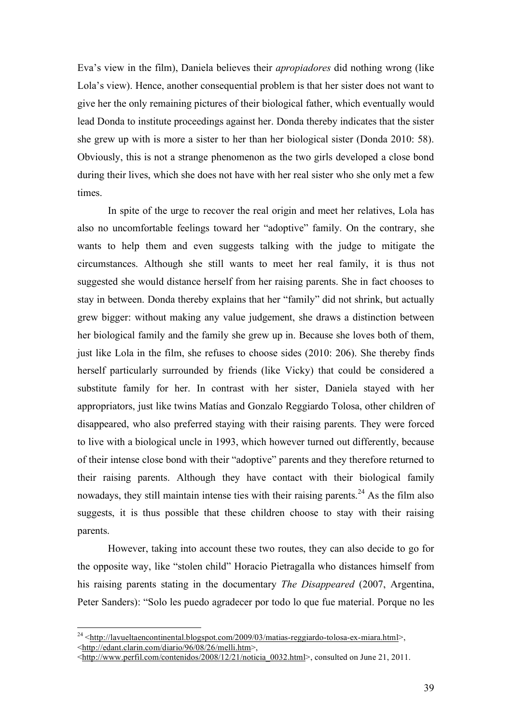Eva's view in the film), Daniela believes their *apropiadores* did nothing wrong (like Lola's view). Hence, another consequential problem is that her sister does not want to give her the only remaining pictures of their biological father, which eventually would lead Donda to institute proceedings against her. Donda thereby indicates that the sister she grew up with is more a sister to her than her biological sister (Donda 2010: 58). Obviously, this is not a strange phenomenon as the two girls developed a close bond during their lives, which she does not have with her real sister who she only met a few times.

In spite of the urge to recover the real origin and meet her relatives, Lola has also no uncomfortable feelings toward her "adoptive" family. On the contrary, she wants to help them and even suggests talking with the judge to mitigate the circumstances. Although she still wants to meet her real family, it is thus not suggested she would distance herself from her raising parents. She in fact chooses to stay in between. Donda thereby explains that her "family" did not shrink, but actually grew bigger: without making any value judgement, she draws a distinction between her biological family and the family she grew up in. Because she loves both of them, just like Lola in the film, she refuses to choose sides (2010: 206). She thereby finds herself particularly surrounded by friends (like Vicky) that could be considered a substitute family for her. In contrast with her sister, Daniela stayed with her appropriators, just like twins Matías and Gonzalo Reggiardo Tolosa, other children of disappeared, who also preferred staying with their raising parents. They were forced to live with a biological uncle in 1993, which however turned out differently, because of their intense close bond with their "adoptive" parents and they therefore returned to their raising parents. Although they have contact with their biological family nowadays, they still maintain intense ties with their raising parents.<sup>24</sup> As the film also suggests, it is thus possible that these children choose to stay with their raising parents.

However, taking into account these two routes, they can also decide to go for the opposite way, like "stolen child" Horacio Pietragalla who distances himself from his raising parents stating in the documentary *The Disappeared* (2007, Argentina, Peter Sanders): "Solo les puedo agradecer por todo lo que fue material. Porque no les

 $^{24}$  <http://lavueltaencontinental.blogspot.com/2009/03/matias-reggiardo-tolosa-ex-miara.html>, <http://edant.clarin.com/diario/96/08/26/melli.htm>,

 $\frac{\text{th}}{\text{th}}$ ://www.perfil.com/contenidos/2008/12/21/noticia\_0032.html>, consulted on June 21, 2011.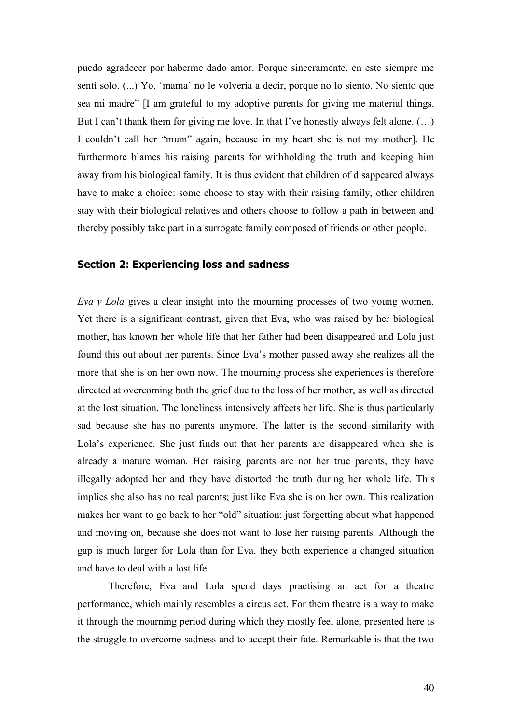puedo agradecer por haberme dado amor. Porque sinceramente, en este siempre me sentí solo. (...) Yo, 'mama' no le volvería a decir, porque no lo siento. No siento que sea mi madre" [I am grateful to my adoptive parents for giving me material things. But I can't thank them for giving me love. In that I've honestly always felt alone. (...) I couldn't call her "mum" again, because in my heart she is not my mother]. He furthermore blames his raising parents for withholding the truth and keeping him away from his biological family. It is thus evident that children of disappeared always have to make a choice: some choose to stay with their raising family, other children stay with their biological relatives and others choose to follow a path in between and thereby possibly take part in a surrogate family composed of friends or other people.

#### **Section 2: Experiencing loss and sadness**

*Eva y Lola* gives a clear insight into the mourning processes of two young women. Yet there is a significant contrast, given that Eva, who was raised by her biological mother, has known her whole life that her father had been disappeared and Lola just found this out about her parents. Since Eva's mother passed away she realizes all the more that she is on her own now. The mourning process she experiences is therefore directed at overcoming both the grief due to the loss of her mother, as well as directed at the lost situation. The loneliness intensively affects her life. She is thus particularly sad because she has no parents anymore. The latter is the second similarity with Lola's experience. She just finds out that her parents are disappeared when she is already a mature woman. Her raising parents are not her true parents, they have illegally adopted her and they have distorted the truth during her whole life. This implies she also has no real parents; just like Eva she is on her own. This realization makes her want to go back to her "old" situation: just forgetting about what happened and moving on, because she does not want to lose her raising parents. Although the gap is much larger for Lola than for Eva, they both experience a changed situation and have to deal with a lost life.

Therefore, Eva and Lola spend days practising an act for a theatre performance, which mainly resembles a circus act. For them theatre is a way to make it through the mourning period during which they mostly feel alone; presented here is the struggle to overcome sadness and to accept their fate. Remarkable is that the two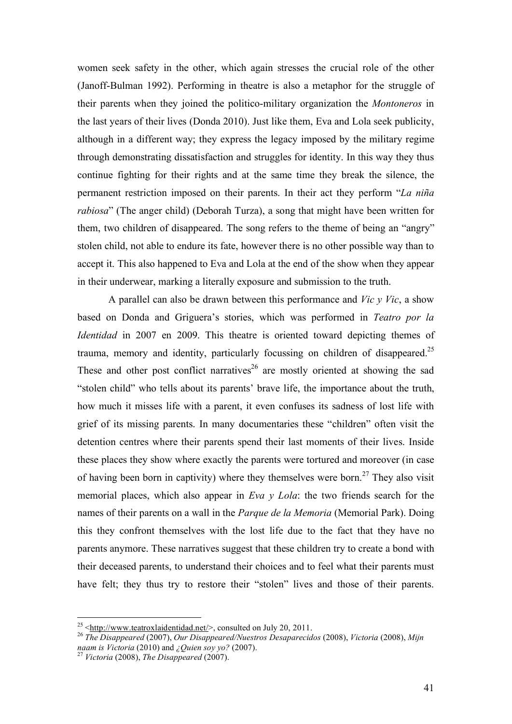women seek safety in the other, which again stresses the crucial role of the other (Janoff-Bulman 1992). Performing in theatre is also a metaphor for the struggle of their parents when they joined the politico-military organization the *Montoneros* in the last years of their lives (Donda 2010). Just like them, Eva and Lola seek publicity, although in a different way; they express the legacy imposed by the military regime through demonstrating dissatisfaction and struggles for identity. In this way they thus continue fighting for their rights and at the same time they break the silence, the permanent restriction imposed on their parents. In their act they perform "*La niña rabiosa*" (The anger child) (Deborah Turza), a song that might have been written for them, two children of disappeared. The song refers to the theme of being an "angry" stolen child, not able to endure its fate, however there is no other possible way than to accept it. This also happened to Eva and Lola at the end of the show when they appear in their underwear, marking a literally exposure and submission to the truth.

A parallel can also be drawn between this performance and *Vic y Vic*, a show based on Donda and Griguera's stories, which was performed in *Teatro por la Identidad* in 2007 en 2009. This theatre is oriented toward depicting themes of trauma, memory and identity, particularly focussing on children of disappeared.<sup>25</sup> These and other post conflict narratives<sup>26</sup> are mostly oriented at showing the sad "stolen child" who tells about its parents' brave life, the importance about the truth, how much it misses life with a parent, it even confuses its sadness of lost life with grief of its missing parents. In many documentaries these "children" often visit the detention centres where their parents spend their last moments of their lives. Inside these places they show where exactly the parents were tortured and moreover (in case of having been born in captivity) where they themselves were born.<sup>27</sup> They also visit memorial places, which also appear in *Eva y Lola*: the two friends search for the names of their parents on a wall in the *Parque de la Memoria* (Memorial Park). Doing this they confront themselves with the lost life due to the fact that they have no parents anymore. These narratives suggest that these children try to create a bond with their deceased parents, to understand their choices and to feel what their parents must have felt; they thus try to restore their "stolen" lives and those of their parents.

<sup>&</sup>lt;sup>25</sup> <http://www.teatroxlaidentidad.net/>, consulted on July 20, 2011.<br><sup>26</sup> *The Disappeared* (2007), *Our Disappeared/Nuestros Desaparecidos* (2008), *Victoria* (2008), *Mijn naam is Victoria* (2010) and *¿Quien soy yo?* (2007). <sup>27</sup> *Victoria* (2008), *The Disappeared* (2007).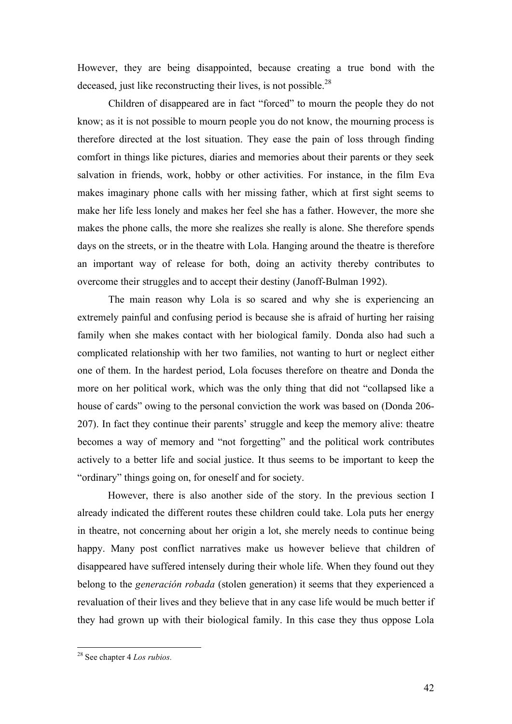However, they are being disappointed, because creating a true bond with the deceased, just like reconstructing their lives, is not possible.<sup>28</sup>

Children of disappeared are in fact "forced" to mourn the people they do not know; as it is not possible to mourn people you do not know, the mourning process is therefore directed at the lost situation. They ease the pain of loss through finding comfort in things like pictures, diaries and memories about their parents or they seek salvation in friends, work, hobby or other activities. For instance, in the film Eva makes imaginary phone calls with her missing father, which at first sight seems to make her life less lonely and makes her feel she has a father. However, the more she makes the phone calls, the more she realizes she really is alone. She therefore spends days on the streets, or in the theatre with Lola. Hanging around the theatre is therefore an important way of release for both, doing an activity thereby contributes to overcome their struggles and to accept their destiny (Janoff-Bulman 1992).

The main reason why Lola is so scared and why she is experiencing an extremely painful and confusing period is because she is afraid of hurting her raising family when she makes contact with her biological family. Donda also had such a complicated relationship with her two families, not wanting to hurt or neglect either one of them. In the hardest period, Lola focuses therefore on theatre and Donda the more on her political work, which was the only thing that did not "collapsed like a house of cards" owing to the personal conviction the work was based on (Donda 206- 207). In fact they continue their parents' struggle and keep the memory alive: theatre becomes a way of memory and "not forgetting" and the political work contributes actively to a better life and social justice. It thus seems to be important to keep the "ordinary" things going on, for oneself and for society.

However, there is also another side of the story. In the previous section I already indicated the different routes these children could take. Lola puts her energy in theatre, not concerning about her origin a lot, she merely needs to continue being happy. Many post conflict narratives make us however believe that children of disappeared have suffered intensely during their whole life. When they found out they belong to the *generación robada* (stolen generation) it seems that they experienced a revaluation of their lives and they believe that in any case life would be much better if they had grown up with their biological family. In this case they thus oppose Lola

 <sup>28</sup> See chapter 4 *Los rubios.*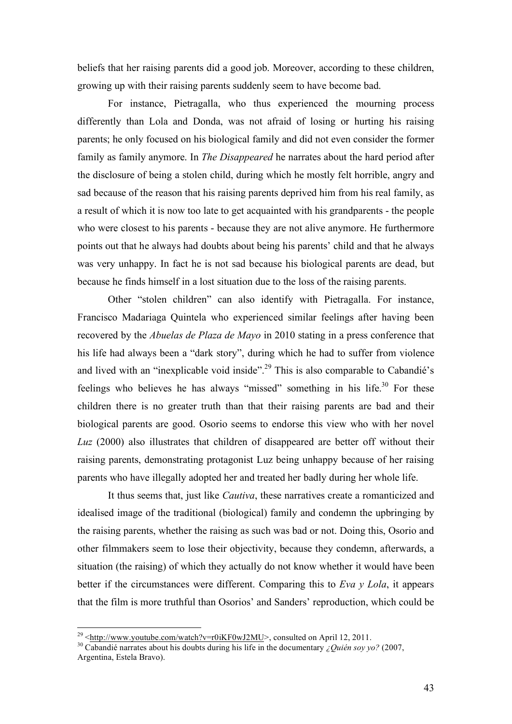beliefs that her raising parents did a good job. Moreover, according to these children, growing up with their raising parents suddenly seem to have become bad.

For instance, Pietragalla, who thus experienced the mourning process differently than Lola and Donda, was not afraid of losing or hurting his raising parents; he only focused on his biological family and did not even consider the former family as family anymore. In *The Disappeared* he narrates about the hard period after the disclosure of being a stolen child, during which he mostly felt horrible, angry and sad because of the reason that his raising parents deprived him from his real family, as a result of which it is now too late to get acquainted with his grandparents - the people who were closest to his parents - because they are not alive anymore. He furthermore points out that he always had doubts about being his parents' child and that he always was very unhappy. In fact he is not sad because his biological parents are dead, but because he finds himself in a lost situation due to the loss of the raising parents.

Other "stolen children" can also identify with Pietragalla. For instance, Francisco Madariaga Quintela who experienced similar feelings after having been recovered by the *Abuelas de Plaza de Mayo* in 2010 stating in a press conference that his life had always been a "dark story", during which he had to suffer from violence and lived with an "inexplicable void inside".<sup>29</sup> This is also comparable to Cabandié's feelings who believes he has always "missed" something in his life.<sup>30</sup> For these children there is no greater truth than that their raising parents are bad and their biological parents are good. Osorio seems to endorse this view who with her novel *Luz* (2000) also illustrates that children of disappeared are better off without their raising parents, demonstrating protagonist Luz being unhappy because of her raising parents who have illegally adopted her and treated her badly during her whole life.

It thus seems that, just like *Cautiva*, these narratives create a romanticized and idealised image of the traditional (biological) family and condemn the upbringing by the raising parents, whether the raising as such was bad or not. Doing this, Osorio and other filmmakers seem to lose their objectivity, because they condemn, afterwards, a situation (the raising) of which they actually do not know whether it would have been better if the circumstances were different. Comparing this to *Eva y Lola*, it appears that the film is more truthful than Osorios' and Sanders' reproduction, which could be

<sup>&</sup>lt;sup>29</sup> <http://www.youtube.com/watch?v=r0iKF0wJ2MU>, consulted on April 12, 2011.<br><sup>30</sup> Cabandié narrates about his doubts during his life in the documentary *¿Quién soy yo?* (2007, Argentina, Estela Bravo).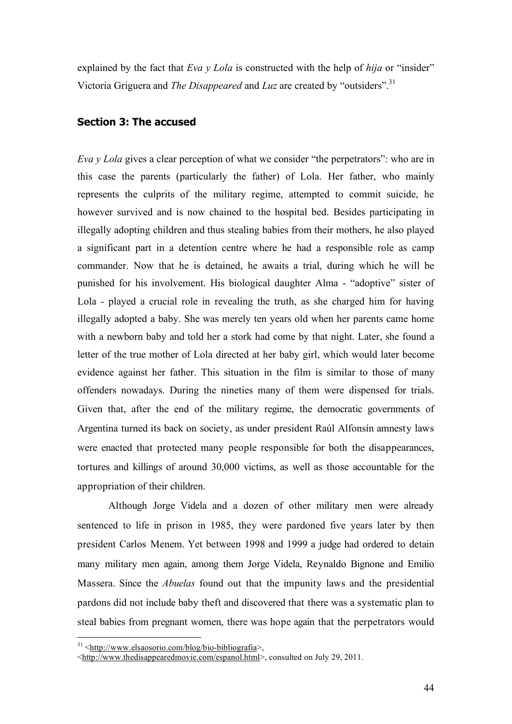explained by the fact that *Eva y Lola* is constructed with the help of *hija* or "insider" Victoria Griguera and *The Disappeared* and *Luz* are created by "outsiders".31

#### **Section 3: The accused**

*Eva y Lola* gives a clear perception of what we consider "the perpetrators": who are in this case the parents (particularly the father) of Lola. Her father, who mainly represents the culprits of the military regime, attempted to commit suicide, he however survived and is now chained to the hospital bed. Besides participating in illegally adopting children and thus stealing babies from their mothers, he also played a significant part in a detention centre where he had a responsible role as camp commander. Now that he is detained, he awaits a trial, during which he will be punished for his involvement. His biological daughter Alma - "adoptive" sister of Lola - played a crucial role in revealing the truth, as she charged him for having illegally adopted a baby. She was merely ten years old when her parents came home with a newborn baby and told her a stork had come by that night. Later, she found a letter of the true mother of Lola directed at her baby girl, which would later become evidence against her father. This situation in the film is similar to those of many offenders nowadays. During the nineties many of them were dispensed for trials. Given that, after the end of the military regime, the democratic governments of Argentina turned its back on society, as under president Raúl Alfonsín amnesty laws were enacted that protected many people responsible for both the disappearances, tortures and killings of around 30,000 victims, as well as those accountable for the appropriation of their children.

Although Jorge Videla and a dozen of other military men were already sentenced to life in prison in 1985, they were pardoned five years later by then president Carlos Menem. Yet between 1998 and 1999 a judge had ordered to detain many military men again, among them Jorge Videla, Reynaldo Bignone and Emilio Massera. Since the *Abuelas* found out that the impunity laws and the presidential pardons did not include baby theft and discovered that there was a systematic plan to steal babies from pregnant women, there was hope again that the perpetrators would

 $31$  <http://www.elsaosorio.com/blog/bio-bibliografia>,

<sup>&</sup>lt;http://www.thedisappearedmovie.com/espanol.html>, consulted on July 29, 2011.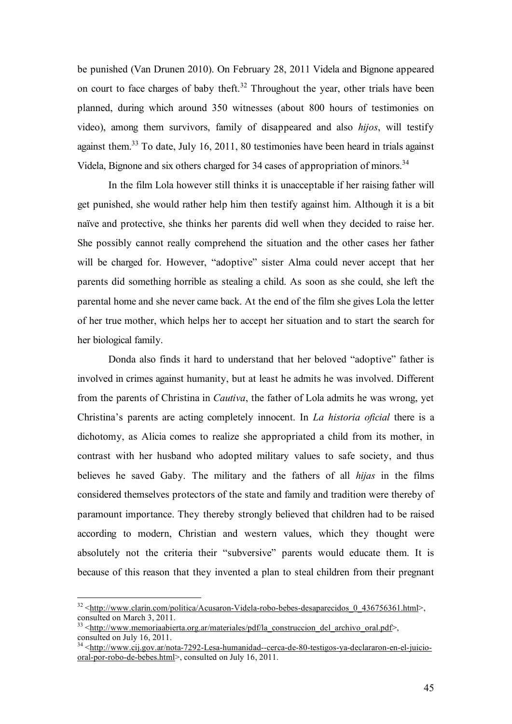be punished (Van Drunen 2010). On February 28, 2011 Videla and Bignone appeared on court to face charges of baby theft.<sup>32</sup> Throughout the year, other trials have been planned, during which around 350 witnesses (about 800 hours of testimonies on video), among them survivors, family of disappeared and also *hijos*, will testify against them.<sup>33</sup> To date, July 16, 2011, 80 testimonies have been heard in trials against Videla, Bignone and six others charged for 34 cases of appropriation of minors.<sup>34</sup>

In the film Lola however still thinks it is unacceptable if her raising father will get punished, she would rather help him then testify against him. Although it is a bit naïve and protective, she thinks her parents did well when they decided to raise her. She possibly cannot really comprehend the situation and the other cases her father will be charged for. However, "adoptive" sister Alma could never accept that her parents did something horrible as stealing a child. As soon as she could, she left the parental home and she never came back. At the end of the film she gives Lola the letter of her true mother, which helps her to accept her situation and to start the search for her biological family.

Donda also finds it hard to understand that her beloved "adoptive" father is involved in crimes against humanity, but at least he admits he was involved. Different from the parents of Christina in *Cautiva*, the father of Lola admits he was wrong, yet Christina's parents are acting completely innocent. In *La historia oficial* there is a dichotomy, as Alicia comes to realize she appropriated a child from its mother, in contrast with her husband who adopted military values to safe society, and thus believes he saved Gaby. The military and the fathers of all *hijas* in the films considered themselves protectors of the state and family and tradition were thereby of paramount importance. They thereby strongly believed that children had to be raised according to modern, Christian and western values, which they thought were absolutely not the criteria their "subversive" parents would educate them. It is because of this reason that they invented a plan to steal children from their pregnant

<sup>&</sup>lt;sup>32</sup> <http://www.clarin.com/politica/Acusaron-Videla-robo-bebes-desaparecidos\_0\_436756361.html>, consulted on March 3, 2011.

<sup>&</sup>lt;sup>3</sup> <http://www.memoriaabierta.org.ar/materiales/pdf/la\_construccion\_del\_archivo\_oral.pdf>, consulted on July 16, 2011.

<sup>&</sup>lt;sup>34</sup> <http://www.cij.gov.ar/nota-7292-Lesa-humanidad--cerca-de-80-testigos-ya-declararon-en-el-juiciooral-por-robo-de-bebes.html>, consulted on July 16, 2011.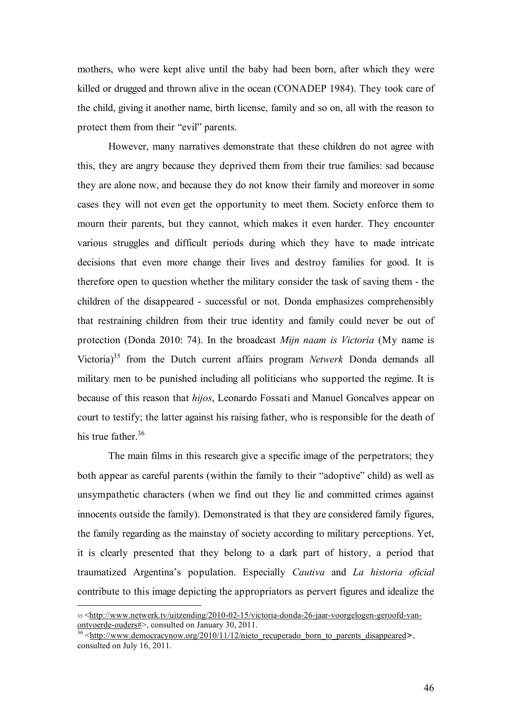mothers, who were kept alive until the baby had been born, after which they were killed or drugged and thrown alive in the ocean (CONADEP 1984). They took care of the child, giving it another name, birth license, family and so on, all with the reason to protect them from their "evil" parents.

However, many narratives demonstrate that these children do not agree with this, they are angry because they deprived them from their true families: sad because they are alone now, and because they do not know their family and moreover in some cases they will not even get the opportunity to meet them. Society enforce them to mourn their parents, but they cannot, which makes it even harder. They encounter various struggles and difficult periods during which they have to made intricate decisions that even more change their lives and destroy families for good. It is therefore open to question whether the military consider the task of saving them - the children of the disappeared - successful or not. Donda emphasizes comprehensibly that restraining children from their true identity and family could never be out of protection (Donda 2010: 74). In the broadcast *Mijn naam is Victoria* (My name is Victoria)35 from the Dutch current affairs program *Netwerk* Donda demands all military men to be punished including all politicians who supported the regime. It is because of this reason that *hijos*, Leonardo Fossati and Manuel Goncalves appear on court to testify; the latter against his raising father, who is responsible for the death of his true father. $36$ 

The main films in this research give a specific image of the perpetrators; they both appear as careful parents (within the family to their "adoptive" child) as well as unsympathetic characters (when we find out they lie and committed crimes against innocents outside the family). Demonstrated is that they are considered family figures, the family regarding as the mainstay of society according to military perceptions. Yet, it is clearly presented that they belong to a dark part of history, a period that traumatized Argentina's population. Especially *Cautiva* and *La historia oficial*  contribute to this image depicting the appropriators as pervert figures and idealize the

<sup>35 &</sup>lt;http://www.netwerk.tv/uitzending/2010-02-15/victoria-donda-26-jaar-voorgelogen-geroofd-van-<br>ontvoerde-ouders#>, consulted on January 30, 2011.

<sup>&</sup>lt;sup>36</sup>  $\text{http://www.democracynow.org/2010/11/12/nieto recuperado born to parents disappeared}.$ consulted on July 16, 2011.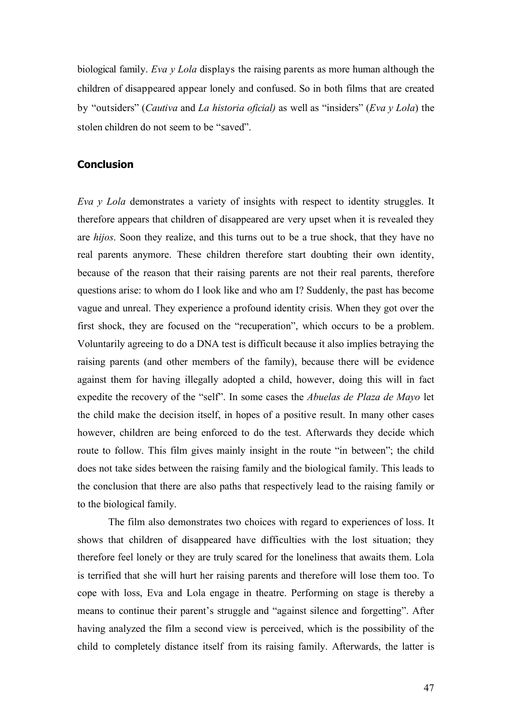biological family. *Eva y Lola* displays the raising parents as more human although the children of disappeared appear lonely and confused. So in both films that are created by "outsiders" (*Cautiva* and *La historia oficial)* as well as "insiders" (*Eva y Lola*) the stolen children do not seem to be "saved".

#### **Conclusion**

*Eva y Lola* demonstrates a variety of insights with respect to identity struggles. It therefore appears that children of disappeared are very upset when it is revealed they are *hijos*. Soon they realize, and this turns out to be a true shock, that they have no real parents anymore. These children therefore start doubting their own identity, because of the reason that their raising parents are not their real parents, therefore questions arise: to whom do I look like and who am I? Suddenly, the past has become vague and unreal. They experience a profound identity crisis. When they got over the first shock, they are focused on the "recuperation", which occurs to be a problem. Voluntarily agreeing to do a DNA test is difficult because it also implies betraying the raising parents (and other members of the family), because there will be evidence against them for having illegally adopted a child, however, doing this will in fact expedite the recovery of the "self". In some cases the *Abuelas de Plaza de Mayo* let the child make the decision itself, in hopes of a positive result. In many other cases however, children are being enforced to do the test. Afterwards they decide which route to follow. This film gives mainly insight in the route "in between"; the child does not take sides between the raising family and the biological family. This leads to the conclusion that there are also paths that respectively lead to the raising family or to the biological family.

The film also demonstrates two choices with regard to experiences of loss. It shows that children of disappeared have difficulties with the lost situation; they therefore feel lonely or they are truly scared for the loneliness that awaits them. Lola is terrified that she will hurt her raising parents and therefore will lose them too. To cope with loss, Eva and Lola engage in theatre. Performing on stage is thereby a means to continue their parent's struggle and "against silence and forgetting". After having analyzed the film a second view is perceived, which is the possibility of the child to completely distance itself from its raising family. Afterwards, the latter is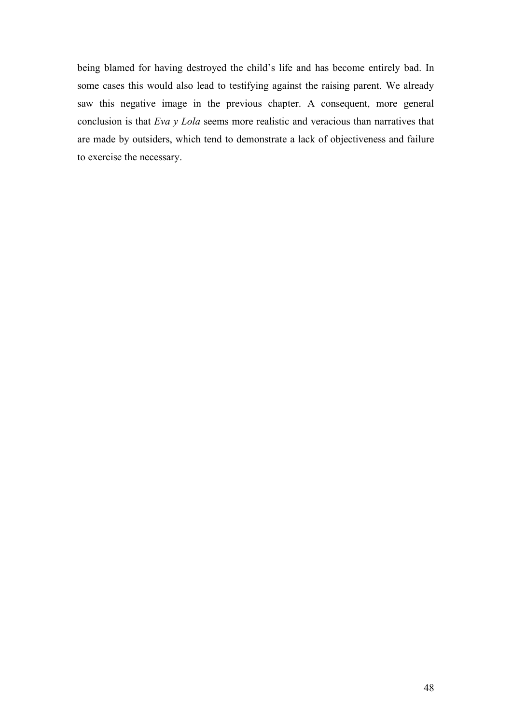being blamed for having destroyed the child's life and has become entirely bad. In some cases this would also lead to testifying against the raising parent. We already saw this negative image in the previous chapter. A consequent, more general conclusion is that *Eva y Lola* seems more realistic and veracious than narratives that are made by outsiders, which tend to demonstrate a lack of objectiveness and failure to exercise the necessary.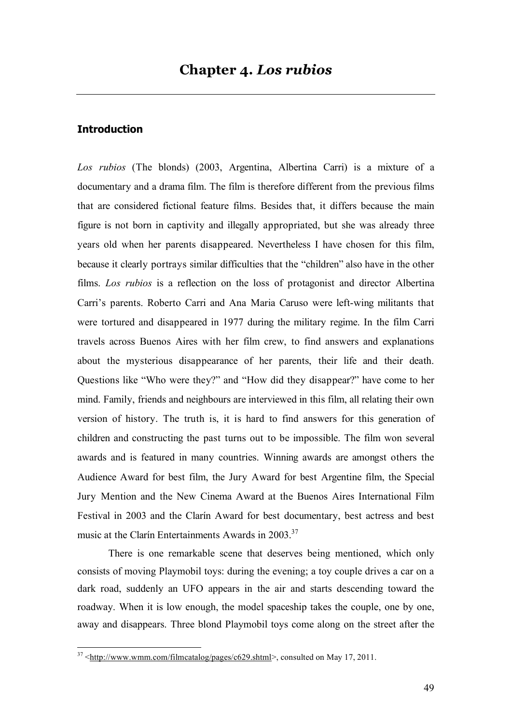#### **Introduction**

*Los rubios* (The blonds) (2003, Argentina, Albertina Carri) is a mixture of a documentary and a drama film. The film is therefore different from the previous films that are considered fictional feature films. Besides that, it differs because the main figure is not born in captivity and illegally appropriated, but she was already three years old when her parents disappeared. Nevertheless I have chosen for this film, because it clearly portrays similar difficulties that the "children" also have in the other films. *Los rubios* is a reflection on the loss of protagonist and director Albertina Carri's parents. Roberto Carri and Ana Maria Caruso were left-wing militants that were tortured and disappeared in 1977 during the military regime. In the film Carri travels across Buenos Aires with her film crew, to find answers and explanations about the mysterious disappearance of her parents, their life and their death. Questions like "Who were they?" and "How did they disappear?" have come to her mind. Family, friends and neighbours are interviewed in this film, all relating their own version of history. The truth is, it is hard to find answers for this generation of children and constructing the past turns out to be impossible. The film won several awards and is featured in many countries. Winning awards are amongst others the Audience Award for best film, the Jury Award for best Argentine film, the Special Jury Mention and the New Cinema Award at the Buenos Aires International Film Festival in 2003 and the Clarín Award for best documentary, best actress and best music at the Clarín Entertainments Awards in 2003.<sup>37</sup>

There is one remarkable scene that deserves being mentioned, which only consists of moving Playmobil toys: during the evening; a toy couple drives a car on a dark road, suddenly an UFO appears in the air and starts descending toward the roadway. When it is low enough, the model spaceship takes the couple, one by one, away and disappears. Three blond Playmobil toys come along on the street after the

 $37$  <http://www.wmm.com/filmcatalog/pages/c629.shtml>, consulted on May 17, 2011.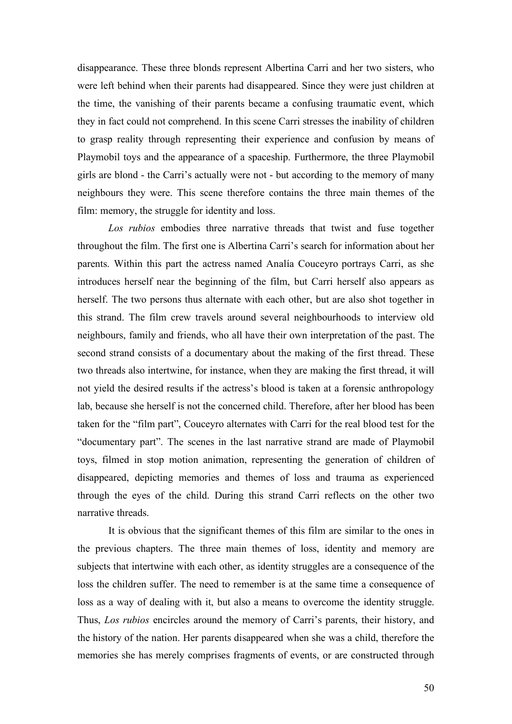disappearance. These three blonds represent Albertina Carri and her two sisters, who were left behind when their parents had disappeared. Since they were just children at the time, the vanishing of their parents became a confusing traumatic event, which they in fact could not comprehend. In this scene Carri stresses the inability of children to grasp reality through representing their experience and confusion by means of Playmobil toys and the appearance of a spaceship. Furthermore, the three Playmobil girls are blond - the Carri's actually were not - but according to the memory of many neighbours they were. This scene therefore contains the three main themes of the film: memory, the struggle for identity and loss.

*Los rubios* embodies three narrative threads that twist and fuse together throughout the film. The first one is Albertina Carri's search for information about her parents. Within this part the actress named Analía Couceyro portrays Carri, as she introduces herself near the beginning of the film, but Carri herself also appears as herself. The two persons thus alternate with each other, but are also shot together in this strand. The film crew travels around several neighbourhoods to interview old neighbours, family and friends, who all have their own interpretation of the past. The second strand consists of a documentary about the making of the first thread. These two threads also intertwine, for instance, when they are making the first thread, it will not yield the desired results if the actress's blood is taken at a forensic anthropology lab, because she herself is not the concerned child. Therefore, after her blood has been taken for the "film part", Couceyro alternates with Carri for the real blood test for the "documentary part". The scenes in the last narrative strand are made of Playmobil toys, filmed in stop motion animation, representing the generation of children of disappeared, depicting memories and themes of loss and trauma as experienced through the eyes of the child. During this strand Carri reflects on the other two narrative threads.

It is obvious that the significant themes of this film are similar to the ones in the previous chapters. The three main themes of loss, identity and memory are subjects that intertwine with each other, as identity struggles are a consequence of the loss the children suffer. The need to remember is at the same time a consequence of loss as a way of dealing with it, but also a means to overcome the identity struggle. Thus, *Los rubios* encircles around the memory of Carri's parents, their history, and the history of the nation. Her parents disappeared when she was a child, therefore the memories she has merely comprises fragments of events, or are constructed through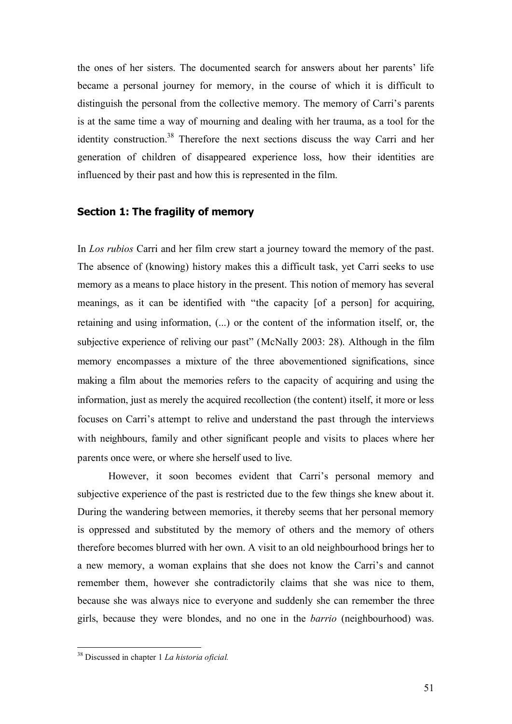the ones of her sisters. The documented search for answers about her parents' life became a personal journey for memory, in the course of which it is difficult to distinguish the personal from the collective memory. The memory of Carri's parents is at the same time a way of mourning and dealing with her trauma, as a tool for the identity construction.<sup>38</sup> Therefore the next sections discuss the way Carri and her generation of children of disappeared experience loss, how their identities are influenced by their past and how this is represented in the film.

#### **Section 1: The fragility of memory**

In *Los rubios* Carri and her film crew start a journey toward the memory of the past. The absence of (knowing) history makes this a difficult task, yet Carri seeks to use memory as a means to place history in the present. This notion of memory has several meanings, as it can be identified with "the capacity [of a person] for acquiring, retaining and using information, (...) or the content of the information itself, or, the subjective experience of reliving our past" (McNally 2003: 28). Although in the film memory encompasses a mixture of the three abovementioned significations, since making a film about the memories refers to the capacity of acquiring and using the information, just as merely the acquired recollection (the content) itself, it more or less focuses on Carri's attempt to relive and understand the past through the interviews with neighbours, family and other significant people and visits to places where her parents once were, or where she herself used to live.

However, it soon becomes evident that Carri's personal memory and subjective experience of the past is restricted due to the few things she knew about it. During the wandering between memories, it thereby seems that her personal memory is oppressed and substituted by the memory of others and the memory of others therefore becomes blurred with her own. A visit to an old neighbourhood brings her to a new memory, a woman explains that she does not know the Carri's and cannot remember them, however she contradictorily claims that she was nice to them, because she was always nice to everyone and suddenly she can remember the three girls, because they were blondes, and no one in the *barrio* (neighbourhood) was.

 <sup>38</sup> Discussed in chapter 1 *La historia oficial.*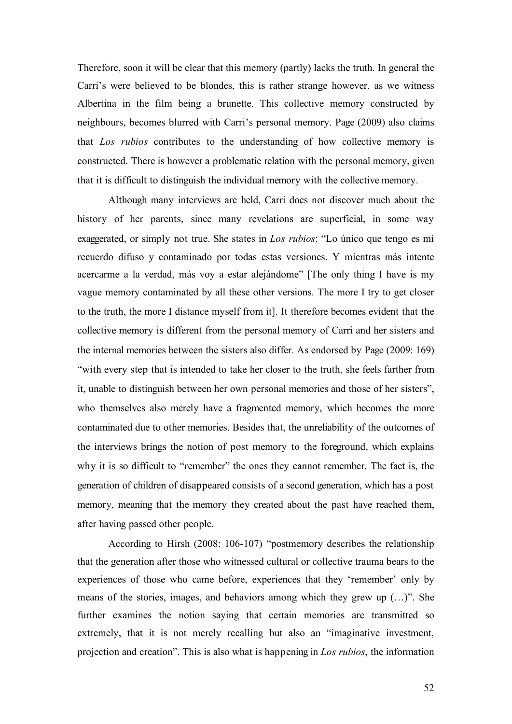Therefore, soon it will be clear that this memory (partly) lacks the truth. In general the Carri's were believed to be blondes, this is rather strange however, as we witness Albertina in the film being a brunette. This collective memory constructed by neighbours, becomes blurred with Carri's personal memory. Page (2009) also claims that *Los rubios* contributes to the understanding of how collective memory is constructed. There is however a problematic relation with the personal memory, given that it is difficult to distinguish the individual memory with the collective memory.

Although many interviews are held, Carri does not discover much about the history of her parents, since many revelations are superficial, in some way exaggerated, or simply not true. She states in *Los rubios*: "Lo único que tengo es mi recuerdo difuso y contaminado por todas estas versiones. Y mientras más intente acercarme a la verdad, más voy a estar alejándome" [The only thing I have is my vague memory contaminated by all these other versions. The more I try to get closer to the truth, the more I distance myself from it]. It therefore becomes evident that the collective memory is different from the personal memory of Carri and her sisters and the internal memories between the sisters also differ. As endorsed by Page (2009: 169) "with every step that is intended to take her closer to the truth, she feels farther from it, unable to distinguish between her own personal memories and those of her sisters", who themselves also merely have a fragmented memory, which becomes the more contaminated due to other memories. Besides that, the unreliability of the outcomes of the interviews brings the notion of post memory to the foreground, which explains why it is so difficult to "remember" the ones they cannot remember. The fact is, the generation of children of disappeared consists of a second generation, which has a post memory, meaning that the memory they created about the past have reached them, after having passed other people.

According to Hirsh (2008: 106-107) "postmemory describes the relationship that the generation after those who witnessed cultural or collective trauma bears to the experiences of those who came before, experiences that they 'remember' only by means of the stories, images, and behaviors among which they grew up (…)". She further examines the notion saying that certain memories are transmitted so extremely, that it is not merely recalling but also an "imaginative investment, projection and creation". This is also what is happening in *Los rubios*, the information

52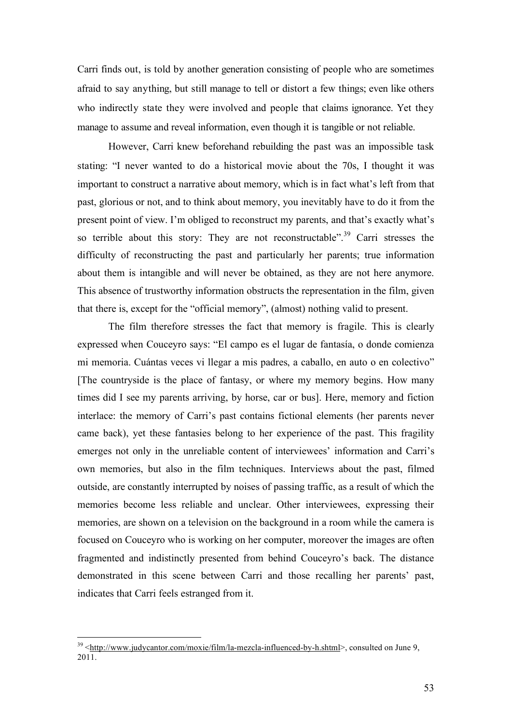Carri finds out, is told by another generation consisting of people who are sometimes afraid to say anything, but still manage to tell or distort a few things; even like others who indirectly state they were involved and people that claims ignorance. Yet they manage to assume and reveal information, even though it is tangible or not reliable.

However, Carri knew beforehand rebuilding the past was an impossible task stating: "I never wanted to do a historical movie about the 70s, I thought it was important to construct a narrative about memory, which is in fact what's left from that past, glorious or not, and to think about memory, you inevitably have to do it from the present point of view. I'm obliged to reconstruct my parents, and that's exactly what's so terrible about this story: They are not reconstructable".<sup>39</sup> Carri stresses the difficulty of reconstructing the past and particularly her parents; true information about them is intangible and will never be obtained, as they are not here anymore. This absence of trustworthy information obstructs the representation in the film, given that there is, except for the "official memory", (almost) nothing valid to present.

The film therefore stresses the fact that memory is fragile. This is clearly expressed when Couceyro says: "El campo es el lugar de fantasía, o donde comienza mi memoria. Cuántas veces vi llegar a mis padres, a caballo, en auto o en colectivo" [The countryside is the place of fantasy, or where my memory begins. How many times did I see my parents arriving, by horse, car or bus]. Here, memory and fiction interlace: the memory of Carri's past contains fictional elements (her parents never came back), yet these fantasies belong to her experience of the past. This fragility emerges not only in the unreliable content of interviewees' information and Carri's own memories, but also in the film techniques. Interviews about the past, filmed outside, are constantly interrupted by noises of passing traffic, as a result of which the memories become less reliable and unclear. Other interviewees, expressing their memories, are shown on a television on the background in a room while the camera is focused on Couceyro who is working on her computer, moreover the images are often fragmented and indistinctly presented from behind Couceyro's back. The distance demonstrated in this scene between Carri and those recalling her parents' past, indicates that Carri feels estranged from it.

<sup>&</sup>lt;sup>39</sup> <http://www.judycantor.com/moxie/film/la-mezcla-influenced-by-h.shtml>, consulted on June 9,  $2011$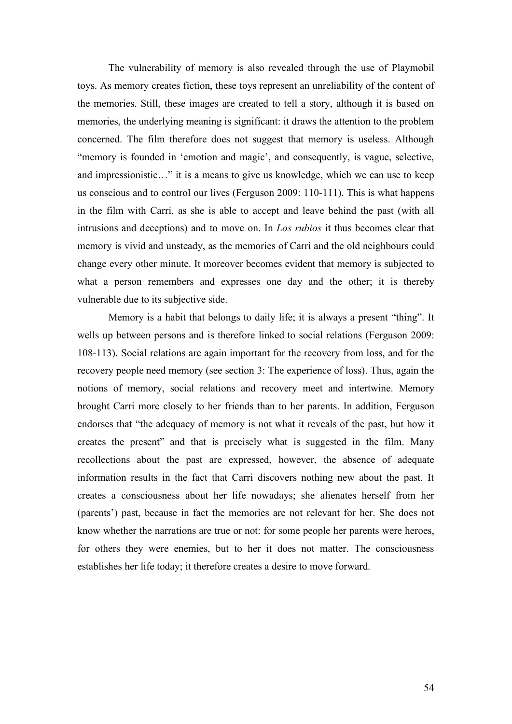The vulnerability of memory is also revealed through the use of Playmobil toys. As memory creates fiction, these toys represent an unreliability of the content of the memories. Still, these images are created to tell a story, although it is based on memories, the underlying meaning is significant: it draws the attention to the problem concerned. The film therefore does not suggest that memory is useless. Although "memory is founded in 'emotion and magic', and consequently, is vague, selective, and impressionistic…" it is a means to give us knowledge, which we can use to keep us conscious and to control our lives (Ferguson 2009: 110-111). This is what happens in the film with Carri, as she is able to accept and leave behind the past (with all intrusions and deceptions) and to move on. In *Los rubios* it thus becomes clear that memory is vivid and unsteady, as the memories of Carri and the old neighbours could change every other minute. It moreover becomes evident that memory is subjected to what a person remembers and expresses one day and the other; it is thereby vulnerable due to its subjective side.

Memory is a habit that belongs to daily life; it is always a present "thing". It wells up between persons and is therefore linked to social relations (Ferguson 2009: 108-113). Social relations are again important for the recovery from loss, and for the recovery people need memory (see section 3: The experience of loss). Thus, again the notions of memory, social relations and recovery meet and intertwine. Memory brought Carri more closely to her friends than to her parents. In addition, Ferguson endorses that "the adequacy of memory is not what it reveals of the past, but how it creates the present" and that is precisely what is suggested in the film. Many recollections about the past are expressed, however, the absence of adequate information results in the fact that Carri discovers nothing new about the past. It creates a consciousness about her life nowadays; she alienates herself from her (parents') past, because in fact the memories are not relevant for her. She does not know whether the narrations are true or not: for some people her parents were heroes, for others they were enemies, but to her it does not matter. The consciousness establishes her life today; it therefore creates a desire to move forward.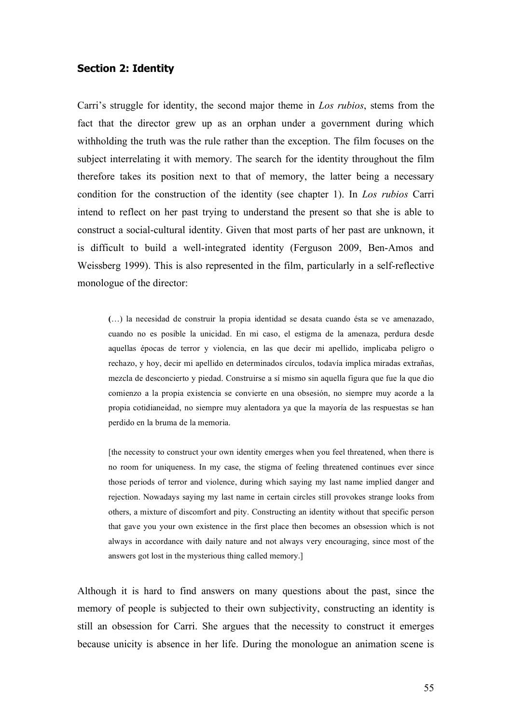#### **Section 2: Identity**

Carri's struggle for identity, the second major theme in *Los rubios*, stems from the fact that the director grew up as an orphan under a government during which withholding the truth was the rule rather than the exception. The film focuses on the subject interrelating it with memory. The search for the identity throughout the film therefore takes its position next to that of memory, the latter being a necessary condition for the construction of the identity (see chapter 1). In *Los rubios* Carri intend to reflect on her past trying to understand the present so that she is able to construct a social-cultural identity. Given that most parts of her past are unknown, it is difficult to build a well-integrated identity (Ferguson 2009, Ben-Amos and Weissberg 1999). This is also represented in the film, particularly in a self-reflective monologue of the director:

**(**…) la necesidad de construir la propia identidad se desata cuando ésta se ve amenazado, cuando no es posible la unicidad. En mi caso, el estigma de la amenaza, perdura desde aquellas épocas de terror y violencia, en las que decir mi apellido, implicaba peligro o rechazo, y hoy, decir mi apellido en determinados círculos, todavía implica miradas extrañas, mezcla de desconcierto y piedad. Construirse a sí mismo sin aquella figura que fue la que dio comienzo a la propia existencia se convierte en una obsesión, no siempre muy acorde a la propia cotidianeidad, no siempre muy alentadora ya que la mayoría de las respuestas se han perdido en la bruma de la memoria.

[the necessity to construct your own identity emerges when you feel threatened, when there is no room for uniqueness. In my case, the stigma of feeling threatened continues ever since those periods of terror and violence, during which saying my last name implied danger and rejection. Nowadays saying my last name in certain circles still provokes strange looks from others, a mixture of discomfort and pity. Constructing an identity without that specific person that gave you your own existence in the first place then becomes an obsession which is not always in accordance with daily nature and not always very encouraging, since most of the answers got lost in the mysterious thing called memory.]

Although it is hard to find answers on many questions about the past, since the memory of people is subjected to their own subjectivity, constructing an identity is still an obsession for Carri. She argues that the necessity to construct it emerges because unicity is absence in her life. During the monologue an animation scene is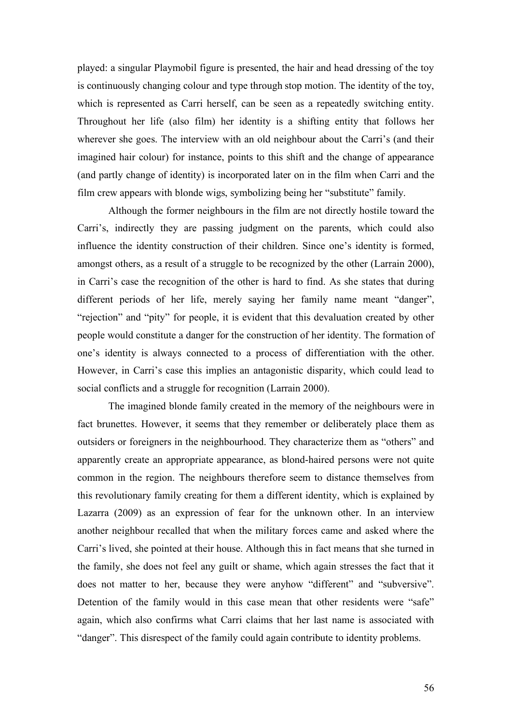played: a singular Playmobil figure is presented, the hair and head dressing of the toy is continuously changing colour and type through stop motion. The identity of the toy, which is represented as Carri herself, can be seen as a repeatedly switching entity. Throughout her life (also film) her identity is a shifting entity that follows her wherever she goes. The interview with an old neighbour about the Carri's (and their imagined hair colour) for instance, points to this shift and the change of appearance (and partly change of identity) is incorporated later on in the film when Carri and the film crew appears with blonde wigs, symbolizing being her "substitute" family.

Although the former neighbours in the film are not directly hostile toward the Carri's, indirectly they are passing judgment on the parents, which could also influence the identity construction of their children. Since one's identity is formed, amongst others, as a result of a struggle to be recognized by the other (Larrain 2000), in Carri's case the recognition of the other is hard to find. As she states that during different periods of her life, merely saying her family name meant "danger", "rejection" and "pity" for people, it is evident that this devaluation created by other people would constitute a danger for the construction of her identity. The formation of one's identity is always connected to a process of differentiation with the other. However, in Carri's case this implies an antagonistic disparity, which could lead to social conflicts and a struggle for recognition (Larrain 2000).

The imagined blonde family created in the memory of the neighbours were in fact brunettes. However, it seems that they remember or deliberately place them as outsiders or foreigners in the neighbourhood. They characterize them as "others" and apparently create an appropriate appearance, as blond-haired persons were not quite common in the region. The neighbours therefore seem to distance themselves from this revolutionary family creating for them a different identity, which is explained by Lazarra (2009) as an expression of fear for the unknown other. In an interview another neighbour recalled that when the military forces came and asked where the Carri's lived, she pointed at their house. Although this in fact means that she turned in the family, she does not feel any guilt or shame, which again stresses the fact that it does not matter to her, because they were anyhow "different" and "subversive". Detention of the family would in this case mean that other residents were "safe" again, which also confirms what Carri claims that her last name is associated with "danger". This disrespect of the family could again contribute to identity problems.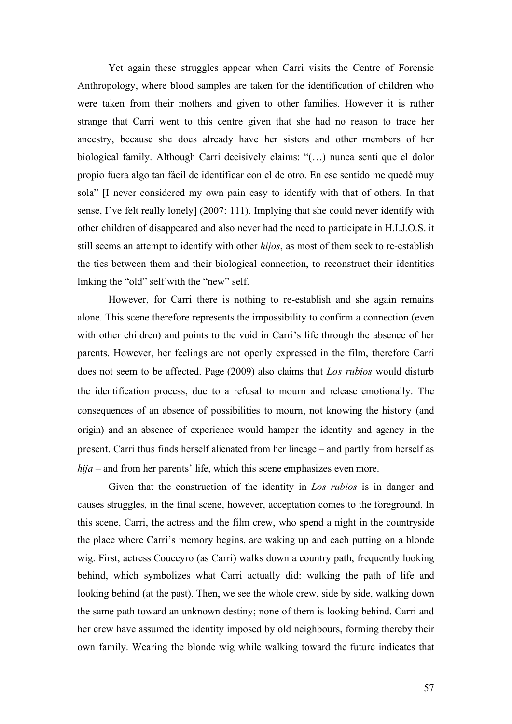Yet again these struggles appear when Carri visits the Centre of Forensic Anthropology, where blood samples are taken for the identification of children who were taken from their mothers and given to other families. However it is rather strange that Carri went to this centre given that she had no reason to trace her ancestry, because she does already have her sisters and other members of her biological family. Although Carri decisively claims: "(…) nunca sentí que el dolor propio fuera algo tan fácil de identificar con el de otro. En ese sentido me quedé muy sola" [I never considered my own pain easy to identify with that of others. In that sense, I've felt really lonely] (2007: 111). Implying that she could never identify with other children of disappeared and also never had the need to participate in H.I.J.O.S. it still seems an attempt to identify with other *hijos*, as most of them seek to re-establish the ties between them and their biological connection, to reconstruct their identities linking the "old" self with the "new" self.

However, for Carri there is nothing to re-establish and she again remains alone. This scene therefore represents the impossibility to confirm a connection (even with other children) and points to the void in Carri's life through the absence of her parents. However, her feelings are not openly expressed in the film, therefore Carri does not seem to be affected. Page (2009) also claims that *Los rubios* would disturb the identification process, due to a refusal to mourn and release emotionally. The consequences of an absence of possibilities to mourn, not knowing the history (and origin) and an absence of experience would hamper the identity and agency in the present. Carri thus finds herself alienated from her lineage – and partly from herself as *hija* – and from her parents' life, which this scene emphasizes even more.

Given that the construction of the identity in *Los rubios* is in danger and causes struggles, in the final scene, however, acceptation comes to the foreground. In this scene, Carri, the actress and the film crew, who spend a night in the countryside the place where Carri's memory begins, are waking up and each putting on a blonde wig. First, actress Couceyro (as Carri) walks down a country path, frequently looking behind, which symbolizes what Carri actually did: walking the path of life and looking behind (at the past). Then, we see the whole crew, side by side, walking down the same path toward an unknown destiny; none of them is looking behind. Carri and her crew have assumed the identity imposed by old neighbours, forming thereby their own family. Wearing the blonde wig while walking toward the future indicates that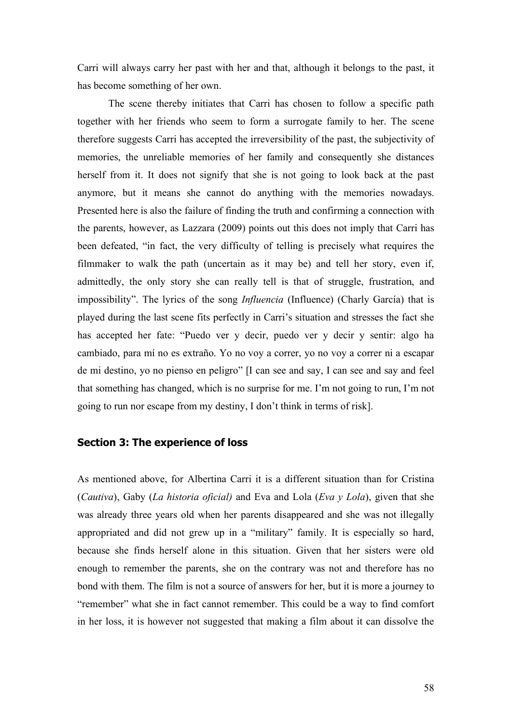Carri will always carry her past with her and that, although it belongs to the past, it has become something of her own.

The scene thereby initiates that Carri has chosen to follow a specific path together with her friends who seem to form a surrogate family to her. The scene therefore suggests Carri has accepted the irreversibility of the past, the subjectivity of memories, the unreliable memories of her family and consequently she distances herself from it. It does not signify that she is not going to look back at the past anymore, but it means she cannot do anything with the memories nowadays. Presented here is also the failure of finding the truth and confirming a connection with the parents, however, as Lazzara (2009) points out this does not imply that Carri has been defeated, "in fact, the very difficulty of telling is precisely what requires the filmmaker to walk the path (uncertain as it may be) and tell her story, even if, admittedly, the only story she can really tell is that of struggle, frustration, and impossibility". The lyrics of the song *Influencia* (Influence) (Charly García) that is played during the last scene fits perfectly in Carri's situation and stresses the fact she has accepted her fate: "Puedo ver y decir, puedo ver y decir y sentir: algo ha cambiado, para mí no es extraño. Yo no voy a correr, yo no voy a correr ni a escapar de mi destino, yo no pienso en peligro" [I can see and say, I can see and say and feel that something has changed, which is no surprise for me. I'm not going to run, I'm not going to run nor escape from my destiny, I don't think in terms of risk].

#### **Section 3: The experience of loss**

As mentioned above, for Albertina Carri it is a different situation than for Cristina (*Cautiva*), Gaby (*La historia oficial)* and Eva and Lola (*Eva y Lola*), given that she was already three years old when her parents disappeared and she was not illegally appropriated and did not grew up in a "military" family. It is especially so hard, because she finds herself alone in this situation. Given that her sisters were old enough to remember the parents, she on the contrary was not and therefore has no bond with them. The film is not a source of answers for her, but it is more a journey to "remember" what she in fact cannot remember. This could be a way to find comfort in her loss, it is however not suggested that making a film about it can dissolve the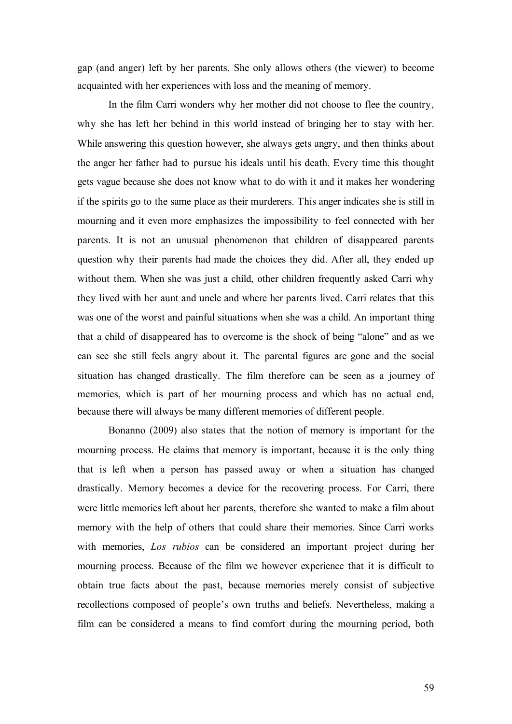gap (and anger) left by her parents. She only allows others (the viewer) to become acquainted with her experiences with loss and the meaning of memory.

In the film Carri wonders why her mother did not choose to flee the country, why she has left her behind in this world instead of bringing her to stay with her. While answering this question however, she always gets angry, and then thinks about the anger her father had to pursue his ideals until his death. Every time this thought gets vague because she does not know what to do with it and it makes her wondering if the spirits go to the same place as their murderers. This anger indicates she is still in mourning and it even more emphasizes the impossibility to feel connected with her parents. It is not an unusual phenomenon that children of disappeared parents question why their parents had made the choices they did. After all, they ended up without them. When she was just a child, other children frequently asked Carri why they lived with her aunt and uncle and where her parents lived. Carri relates that this was one of the worst and painful situations when she was a child. An important thing that a child of disappeared has to overcome is the shock of being "alone" and as we can see she still feels angry about it. The parental figures are gone and the social situation has changed drastically. The film therefore can be seen as a journey of memories, which is part of her mourning process and which has no actual end, because there will always be many different memories of different people.

Bonanno (2009) also states that the notion of memory is important for the mourning process. He claims that memory is important, because it is the only thing that is left when a person has passed away or when a situation has changed drastically. Memory becomes a device for the recovering process. For Carri, there were little memories left about her parents, therefore she wanted to make a film about memory with the help of others that could share their memories. Since Carri works with memories, *Los rubios* can be considered an important project during her mourning process. Because of the film we however experience that it is difficult to obtain true facts about the past, because memories merely consist of subjective recollections composed of people's own truths and beliefs. Nevertheless, making a film can be considered a means to find comfort during the mourning period, both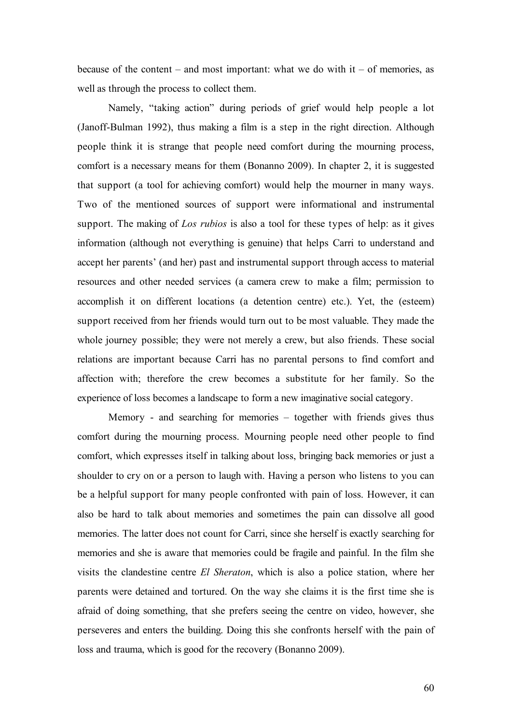because of the content – and most important: what we do with  $it$  – of memories, as well as through the process to collect them.

Namely, "taking action" during periods of grief would help people a lot (Janoff-Bulman 1992), thus making a film is a step in the right direction. Although people think it is strange that people need comfort during the mourning process, comfort is a necessary means for them (Bonanno 2009). In chapter 2, it is suggested that support (a tool for achieving comfort) would help the mourner in many ways. Two of the mentioned sources of support were informational and instrumental support. The making of *Los rubios* is also a tool for these types of help: as it gives information (although not everything is genuine) that helps Carri to understand and accept her parents' (and her) past and instrumental support through access to material resources and other needed services (a camera crew to make a film; permission to accomplish it on different locations (a detention centre) etc.). Yet, the (esteem) support received from her friends would turn out to be most valuable. They made the whole journey possible; they were not merely a crew, but also friends. These social relations are important because Carri has no parental persons to find comfort and affection with; therefore the crew becomes a substitute for her family. So the experience of loss becomes a landscape to form a new imaginative social category.

Memory - and searching for memories – together with friends gives thus comfort during the mourning process. Mourning people need other people to find comfort, which expresses itself in talking about loss, bringing back memories or just a shoulder to cry on or a person to laugh with. Having a person who listens to you can be a helpful support for many people confronted with pain of loss. However, it can also be hard to talk about memories and sometimes the pain can dissolve all good memories. The latter does not count for Carri, since she herself is exactly searching for memories and she is aware that memories could be fragile and painful. In the film she visits the clandestine centre *El Sheraton*, which is also a police station, where her parents were detained and tortured. On the way she claims it is the first time she is afraid of doing something, that she prefers seeing the centre on video, however, she perseveres and enters the building. Doing this she confronts herself with the pain of loss and trauma, which is good for the recovery (Bonanno 2009).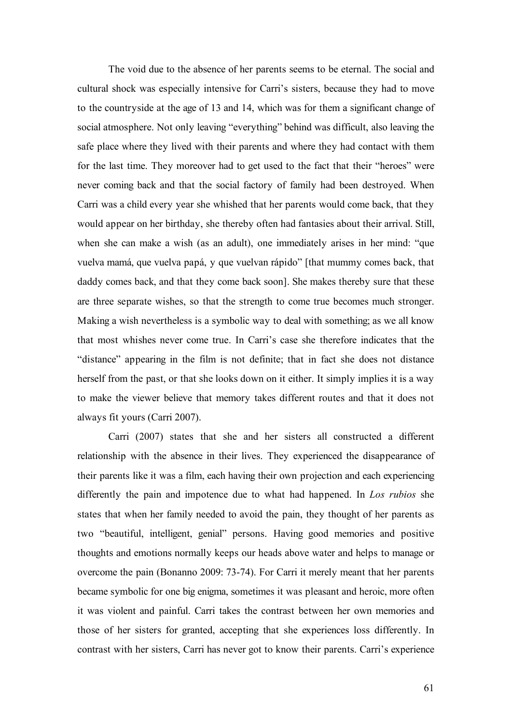The void due to the absence of her parents seems to be eternal. The social and cultural shock was especially intensive for Carri's sisters, because they had to move to the countryside at the age of 13 and 14, which was for them a significant change of social atmosphere. Not only leaving "everything" behind was difficult, also leaving the safe place where they lived with their parents and where they had contact with them for the last time. They moreover had to get used to the fact that their "heroes" were never coming back and that the social factory of family had been destroyed. When Carri was a child every year she whished that her parents would come back, that they would appear on her birthday, she thereby often had fantasies about their arrival. Still, when she can make a wish (as an adult), one immediately arises in her mind: "que vuelva mamá, que vuelva papá, y que vuelvan rápido" [that mummy comes back, that daddy comes back, and that they come back soon]. She makes thereby sure that these are three separate wishes, so that the strength to come true becomes much stronger. Making a wish nevertheless is a symbolic way to deal with something; as we all know that most whishes never come true. In Carri's case she therefore indicates that the "distance" appearing in the film is not definite; that in fact she does not distance herself from the past, or that she looks down on it either. It simply implies it is a way to make the viewer believe that memory takes different routes and that it does not always fit yours (Carri 2007).

Carri (2007) states that she and her sisters all constructed a different relationship with the absence in their lives. They experienced the disappearance of their parents like it was a film, each having their own projection and each experiencing differently the pain and impotence due to what had happened. In *Los rubios* she states that when her family needed to avoid the pain, they thought of her parents as two "beautiful, intelligent, genial" persons. Having good memories and positive thoughts and emotions normally keeps our heads above water and helps to manage or overcome the pain (Bonanno 2009: 73-74). For Carri it merely meant that her parents became symbolic for one big enigma, sometimes it was pleasant and heroic, more often it was violent and painful. Carri takes the contrast between her own memories and those of her sisters for granted, accepting that she experiences loss differently. In contrast with her sisters, Carri has never got to know their parents. Carri's experience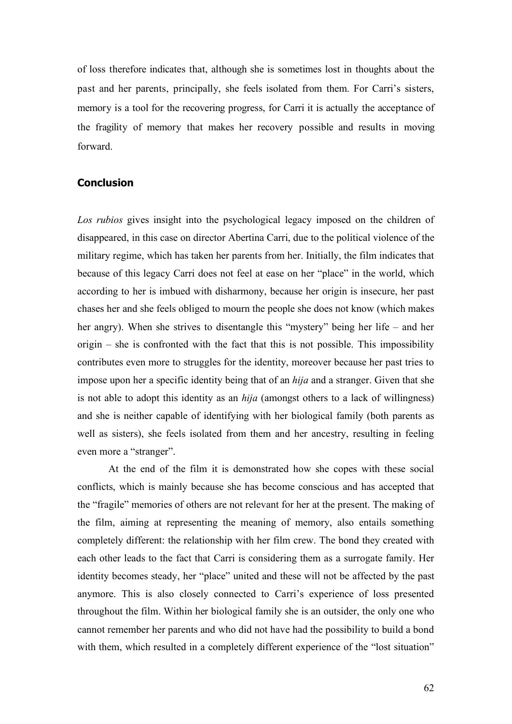of loss therefore indicates that, although she is sometimes lost in thoughts about the past and her parents, principally, she feels isolated from them. For Carri's sisters, memory is a tool for the recovering progress, for Carri it is actually the acceptance of the fragility of memory that makes her recovery possible and results in moving forward.

#### **Conclusion**

*Los rubios* gives insight into the psychological legacy imposed on the children of disappeared, in this case on director Abertina Carri, due to the political violence of the military regime, which has taken her parents from her. Initially, the film indicates that because of this legacy Carri does not feel at ease on her "place" in the world, which according to her is imbued with disharmony, because her origin is insecure, her past chases her and she feels obliged to mourn the people she does not know (which makes her angry). When she strives to disentangle this "mystery" being her life – and her origin – she is confronted with the fact that this is not possible. This impossibility contributes even more to struggles for the identity, moreover because her past tries to impose upon her a specific identity being that of an *hija* and a stranger. Given that she is not able to adopt this identity as an *hija* (amongst others to a lack of willingness) and she is neither capable of identifying with her biological family (both parents as well as sisters), she feels isolated from them and her ancestry, resulting in feeling even more a "stranger".

At the end of the film it is demonstrated how she copes with these social conflicts, which is mainly because she has become conscious and has accepted that the "fragile" memories of others are not relevant for her at the present. The making of the film, aiming at representing the meaning of memory, also entails something completely different: the relationship with her film crew. The bond they created with each other leads to the fact that Carri is considering them as a surrogate family. Her identity becomes steady, her "place" united and these will not be affected by the past anymore. This is also closely connected to Carri's experience of loss presented throughout the film. Within her biological family she is an outsider, the only one who cannot remember her parents and who did not have had the possibility to build a bond with them, which resulted in a completely different experience of the "lost situation"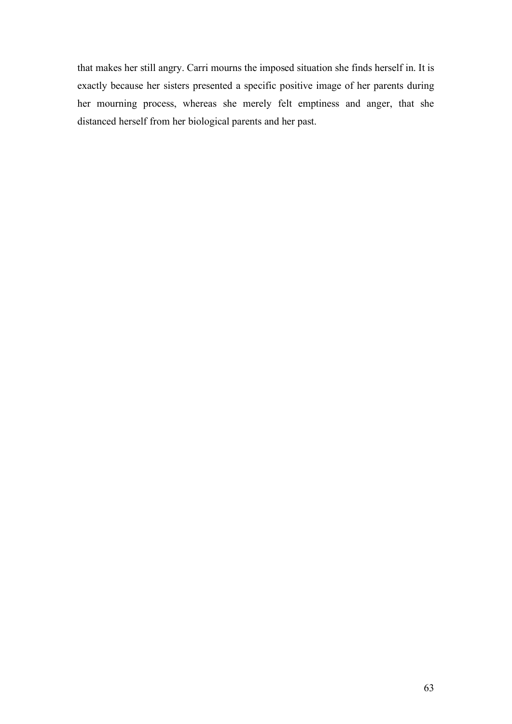that makes her still angry. Carri mourns the imposed situation she finds herself in. It is exactly because her sisters presented a specific positive image of her parents during her mourning process, whereas she merely felt emptiness and anger, that she distanced herself from her biological parents and her past.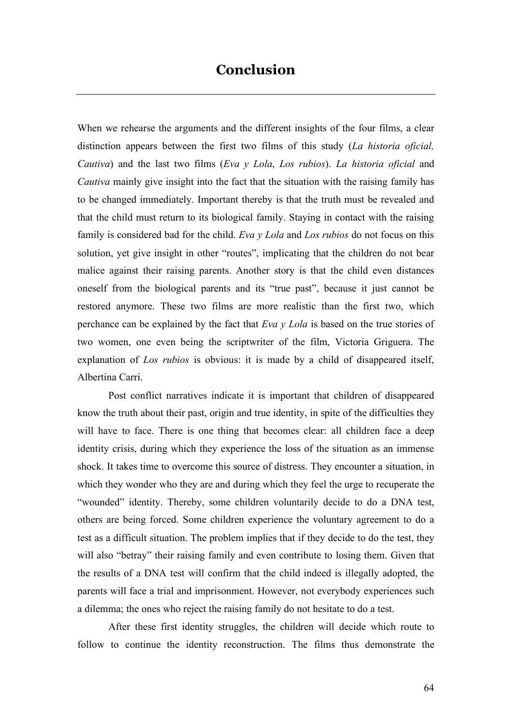When we rehearse the arguments and the different insights of the four films, a clear distinction appears between the first two films of this study (*La historia oficial, Cautiva*) and the last two films (*Eva y Lola*, *Los rubios*). *La historia oficial* and *Cautiva* mainly give insight into the fact that the situation with the raising family has to be changed immediately. Important thereby is that the truth must be revealed and that the child must return to its biological family. Staying in contact with the raising family is considered bad for the child. *Eva y Lola* and *Los rubios* do not focus on this solution, yet give insight in other "routes", implicating that the children do not bear malice against their raising parents. Another story is that the child even distances oneself from the biological parents and its "true past", because it just cannot be restored anymore. These two films are more realistic than the first two, which perchance can be explained by the fact that *Eva y Lola* is based on the true stories of two women, one even being the scriptwriter of the film, Victoria Griguera. The explanation of *Los rubios* is obvious: it is made by a child of disappeared itself, Albertina Carri.

Post conflict narratives indicate it is important that children of disappeared know the truth about their past, origin and true identity, in spite of the difficulties they will have to face. There is one thing that becomes clear: all children face a deep identity crisis, during which they experience the loss of the situation as an immense shock. It takes time to overcome this source of distress. They encounter a situation, in which they wonder who they are and during which they feel the urge to recuperate the "wounded" identity. Thereby, some children voluntarily decide to do a DNA test, others are being forced. Some children experience the voluntary agreement to do a test as a difficult situation. The problem implies that if they decide to do the test, they will also "betray" their raising family and even contribute to losing them. Given that the results of a DNA test will confirm that the child indeed is illegally adopted, the parents will face a trial and imprisonment. However, not everybody experiences such a dilemma; the ones who reject the raising family do not hesitate to do a test.

After these first identity struggles, the children will decide which route to follow to continue the identity reconstruction. The films thus demonstrate the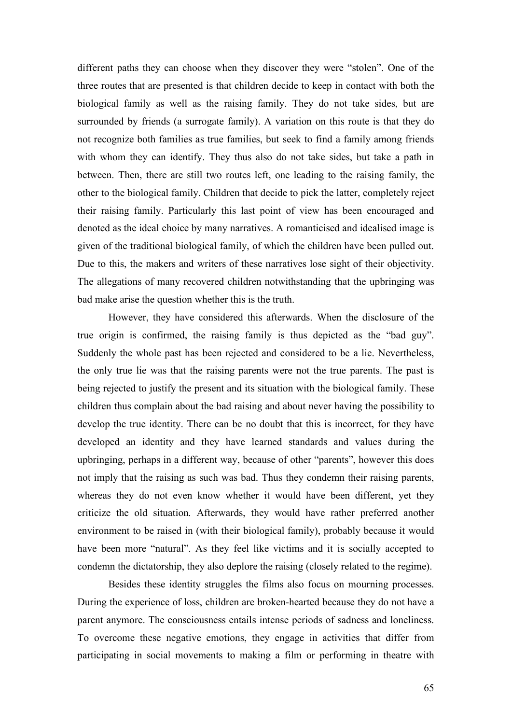different paths they can choose when they discover they were "stolen". One of the three routes that are presented is that children decide to keep in contact with both the biological family as well as the raising family. They do not take sides, but are surrounded by friends (a surrogate family). A variation on this route is that they do not recognize both families as true families, but seek to find a family among friends with whom they can identify. They thus also do not take sides, but take a path in between. Then, there are still two routes left, one leading to the raising family, the other to the biological family. Children that decide to pick the latter, completely reject their raising family. Particularly this last point of view has been encouraged and denoted as the ideal choice by many narratives. A romanticised and idealised image is given of the traditional biological family, of which the children have been pulled out. Due to this, the makers and writers of these narratives lose sight of their objectivity. The allegations of many recovered children notwithstanding that the upbringing was bad make arise the question whether this is the truth.

However, they have considered this afterwards. When the disclosure of the true origin is confirmed, the raising family is thus depicted as the "bad guy". Suddenly the whole past has been rejected and considered to be a lie. Nevertheless, the only true lie was that the raising parents were not the true parents. The past is being rejected to justify the present and its situation with the biological family. These children thus complain about the bad raising and about never having the possibility to develop the true identity. There can be no doubt that this is incorrect, for they have developed an identity and they have learned standards and values during the upbringing, perhaps in a different way, because of other "parents", however this does not imply that the raising as such was bad. Thus they condemn their raising parents, whereas they do not even know whether it would have been different, yet they criticize the old situation. Afterwards, they would have rather preferred another environment to be raised in (with their biological family), probably because it would have been more "natural". As they feel like victims and it is socially accepted to condemn the dictatorship, they also deplore the raising (closely related to the regime).

Besides these identity struggles the films also focus on mourning processes. During the experience of loss, children are broken-hearted because they do not have a parent anymore. The consciousness entails intense periods of sadness and loneliness. To overcome these negative emotions, they engage in activities that differ from participating in social movements to making a film or performing in theatre with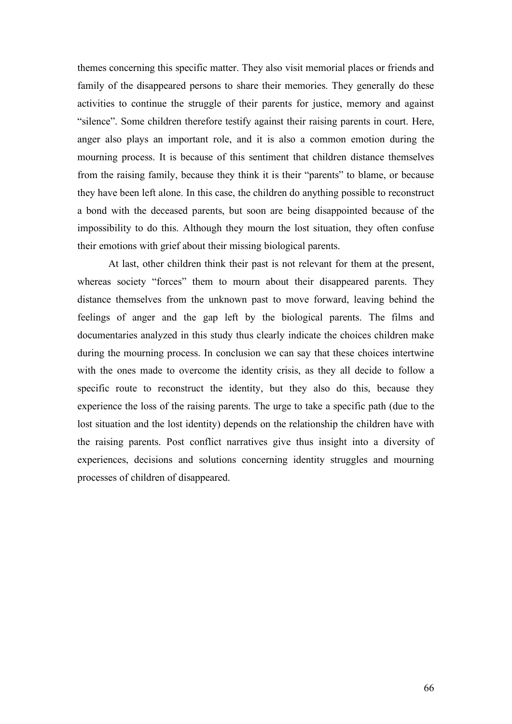themes concerning this specific matter. They also visit memorial places or friends and family of the disappeared persons to share their memories. They generally do these activities to continue the struggle of their parents for justice, memory and against "silence". Some children therefore testify against their raising parents in court. Here, anger also plays an important role, and it is also a common emotion during the mourning process. It is because of this sentiment that children distance themselves from the raising family, because they think it is their "parents" to blame, or because they have been left alone. In this case, the children do anything possible to reconstruct a bond with the deceased parents, but soon are being disappointed because of the impossibility to do this. Although they mourn the lost situation, they often confuse their emotions with grief about their missing biological parents.

At last, other children think their past is not relevant for them at the present, whereas society "forces" them to mourn about their disappeared parents. They distance themselves from the unknown past to move forward, leaving behind the feelings of anger and the gap left by the biological parents. The films and documentaries analyzed in this study thus clearly indicate the choices children make during the mourning process. In conclusion we can say that these choices intertwine with the ones made to overcome the identity crisis, as they all decide to follow a specific route to reconstruct the identity, but they also do this, because they experience the loss of the raising parents. The urge to take a specific path (due to the lost situation and the lost identity) depends on the relationship the children have with the raising parents. Post conflict narratives give thus insight into a diversity of experiences, decisions and solutions concerning identity struggles and mourning processes of children of disappeared.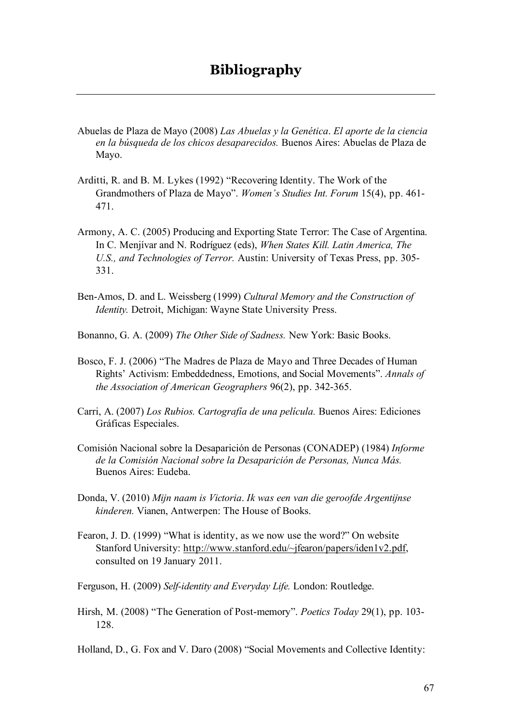- Abuelas de Plaza de Mayo (2008) *Las Abuelas y la Genética*. *El aporte de la ciencia en la búsqueda de los chicos desaparecidos.* Buenos Aires: Abuelas de Plaza de Mayo.
- Arditti, R. and B. M. Lykes (1992) "Recovering Identity. The Work of the Grandmothers of Plaza de Mayo". *Women's Studies Int. Forum* 15(4), pp. 461- 471.
- Armony, A. C. (2005) Producing and Exporting State Terror: The Case of Argentina. In C. Menjívar and N. Rodríguez (eds), *When States Kill. Latin America, The U.S., and Technologies of Terror.* Austin: University of Texas Press, pp. 305- 331.
- Ben-Amos, D. and L. Weissberg (1999) *Cultural Memory and the Construction of Identity.* Detroit, Michigan: Wayne State University Press.
- Bonanno, G. A. (2009) *The Other Side of Sadness.* New York: Basic Books.
- Bosco, F. J. (2006) "The Madres de Plaza de Mayo and Three Decades of Human Rights' Activism: Embeddedness, Emotions, and Social Movements". *Annals of the Association of American Geographers* 96(2), pp. 342-365.
- Carri, A. (2007) *Los Rubios. Cartografía de una película.* Buenos Aires: Ediciones Gráficas Especiales.
- Comisión Nacional sobre la Desaparición de Personas (CONADEP) (1984) *Informe de la Comisión Nacional sobre la Desaparición de Personas, Nunca Más.* Buenos Aires: Eudeba.
- Donda, V. (2010) *Mijn naam is Victoria*. *Ik was een van die geroofde Argentijnse kinderen.* Vianen, Antwerpen: The House of Books.
- Fearon, J. D. (1999) "What is identity, as we now use the word?" On website Stanford University: http://www.stanford.edu/~jfearon/papers/iden1v2.pdf, consulted on 19 January 2011.
- Ferguson, H. (2009) *Self-identity and Everyday Life.* London: Routledge.
- Hirsh, M. (2008) "The Generation of Post-memory". *Poetics Today* 29(1), pp. 103- 128.
- Holland, D., G. Fox and V. Daro (2008) "Social Movements and Collective Identity: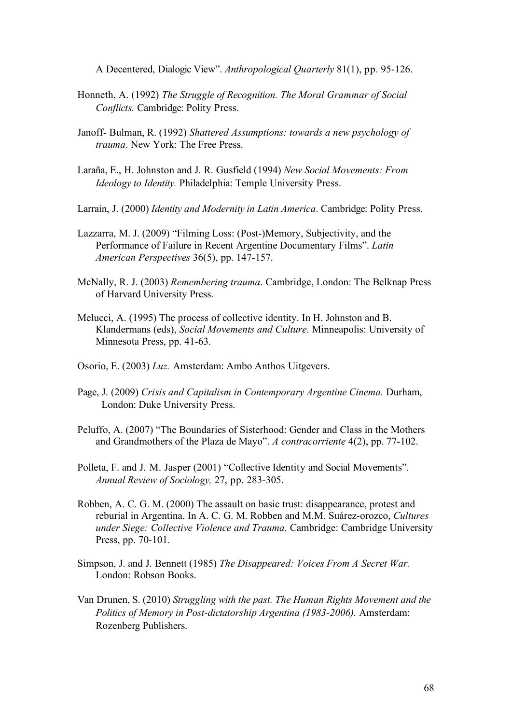A Decentered, Dialogic View". *Anthropological Quarterly* 81(1), pp. 95-126.

- Honneth, A. (1992) *The Struggle of Recognition. The Moral Grammar of Social Conflicts.* Cambridge: Polity Press.
- Janoff- Bulman, R. (1992) *Shattered Assumptions: towards a new psychology of trauma*. New York: The Free Press.
- Laraña, E., H. Johnston and J. R. Gusfield (1994) *New Social Movements: From Ideology to Identity.* Philadelphia: Temple University Press.
- Larrain, J. (2000) *Identity and Modernity in Latin America*. Cambridge: Polity Press.
- Lazzarra, M. J. (2009) "Filming Loss: (Post-)Memory, Subjectivity, and the Performance of Failure in Recent Argentine Documentary Films". *Latin American Perspectives* 36(5), pp. 147-157.
- McNally, R. J. (2003) *Remembering trauma*. Cambridge, London: The Belknap Press of Harvard University Press.
- Melucci, A. (1995) The process of collective identity. In H. Johnston and B. Klandermans (eds), *Social Movements and Culture*. Minneapolis: University of Minnesota Press, pp. 41-63.
- Osorio, E. (2003) *Luz.* Amsterdam: Ambo Anthos Uitgevers.
- Page, J. (2009) *Crisis and Capitalism in Contemporary Argentine Cinema.* Durham, London: Duke University Press.
- Peluffo, A. (2007) "The Boundaries of Sisterhood: Gender and Class in the Mothers and Grandmothers of the Plaza de Mayo". *A contracorriente* 4(2), pp. 77-102.
- Polleta, F. and J. M. Jasper (2001) "Collective Identity and Social Movements". *Annual Review of Sociology,* 27, pp. 283-305.
- Robben, A. C. G. M. (2000) The assault on basic trust: disappearance, protest and reburial in Argentina. In A. C. G. M. Robben and M.M. Suárez-orozco, *Cultures under Siege: Collective Violence and Trauma*. Cambridge: Cambridge University Press, pp. 70-101.
- Simpson, J. and J. Bennett (1985) *The Disappeared: Voices From A Secret War.*  London: Robson Books.
- Van Drunen, S. (2010) *Struggling with the past. The Human Rights Movement and the Politics of Memory in Post-dictatorship Argentina (1983-2006).* Amsterdam: Rozenberg Publishers.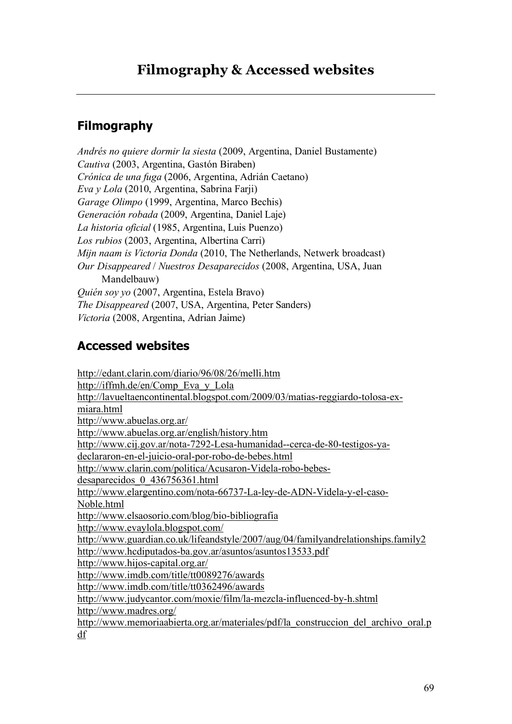## **Filmography**

*Andrés no quiere dormir la siesta* (2009, Argentina, Daniel Bustamente) *Cautiva* (2003, Argentina, Gastón Biraben) *Crónica de una fuga* (2006, Argentina, Adrián Caetano) *Eva y Lola* (2010, Argentina, Sabrina Farji) *Garage Olimpo* (1999, Argentina, Marco Bechis) *Generación robada* (2009, Argentina, Daniel Laje) *La historia oficial* (1985, Argentina, Luis Puenzo) *Los rubios* (2003, Argentina, Albertina Carri) *Mijn naam is Victoria Donda* (2010, The Netherlands, Netwerk broadcast) *Our Disappeared* / *Nuestros Desaparecidos* (2008, Argentina, USA, Juan Mandelbauw) *Quién soy yo* (2007, Argentina, Estela Bravo) *The Disappeared* (2007, USA, Argentina, Peter Sanders) *Victoria* (2008, Argentina, Adrian Jaime)

## **Accessed websites**

http://edant.clarin.com/diario/96/08/26/melli.htm http://iffmh.de/en/Comp\_Eva\_y\_Lola http://lavueltaencontinental.blogspot.com/2009/03/matias-reggiardo-tolosa-exmiara.html http://www.abuelas.org.ar/ http://www.abuelas.org.ar/english/history.htm http://www.cij.gov.ar/nota-7292-Lesa-humanidad--cerca-de-80-testigos-yadeclararon-en-el-juicio-oral-por-robo-de-bebes.html http://www.clarin.com/politica/Acusaron-Videla-robo-bebesdesaparecidos\_0\_436756361.html http://www.elargentino.com/nota-66737-La-ley-de-ADN-Videla-y-el-caso-Noble.html http://www.elsaosorio.com/blog/bio-bibliografia http://www.evaylola.blogspot.com/ http://www.guardian.co.uk/lifeandstyle/2007/aug/04/familyandrelationships.family2 http://www.hcdiputados-ba.gov.ar/asuntos/asuntos13533.pdf http://www.hijos-capital.org.ar/ http://www.imdb.com/title/tt0089276/awards http://www.imdb.com/title/tt0362496/awards http://www.judycantor.com/moxie/film/la-mezcla-influenced-by-h.shtml http://www.madres.org/ http://www.memoriaabierta.org.ar/materiales/pdf/la\_construccion\_del\_archivo\_oral.p df